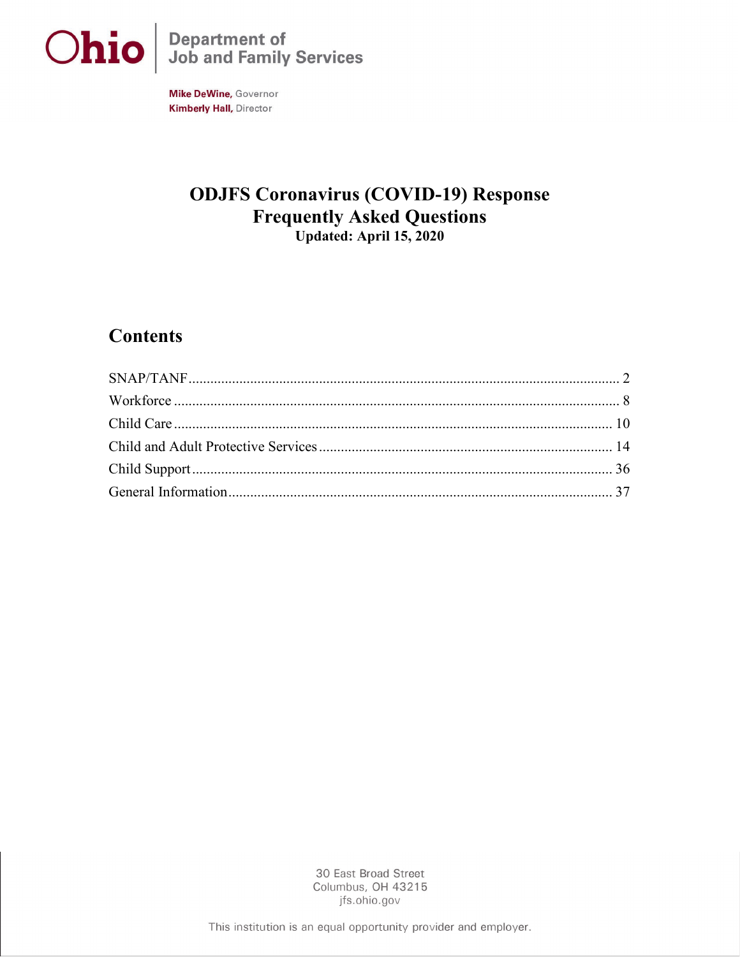

Ohio Job and Family Services

**Mike DeWine, Governor Kimberly Hall, Director** 

# **ODJFS Coronavirus (COVID-19) Response Frequently Asked Questions** Updated: April 15, 2020

# **Contents**

<span id="page-0-0"></span>

30 East Broad Street Columbus, OH 43215 jfs.ohio.gov

This institution is an equal opportunity provider and employer.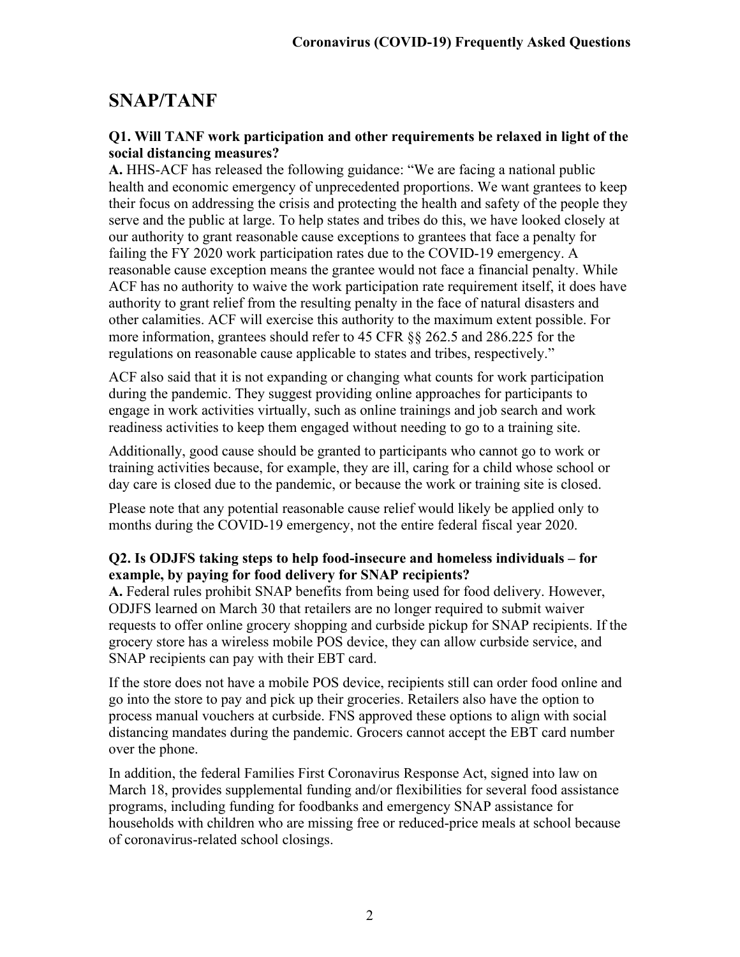# **SNAP/TANF**

### **Q1. Will TANF work participation and other requirements be relaxed in light of the social distancing measures?**

**A.** HHS-ACF has released the following guidance: "We are facing a national public health and economic emergency of unprecedented proportions. We want grantees to keep their focus on addressing the crisis and protecting the health and safety of the people they serve and the public at large. To help states and tribes do this, we have looked closely at our authority to grant reasonable cause exceptions to grantees that face a penalty for failing the FY 2020 work participation rates due to the COVID-19 emergency. A reasonable cause exception means the grantee would not face a financial penalty. While ACF has no authority to waive the work participation rate requirement itself, it does have authority to grant relief from the resulting penalty in the face of natural disasters and other calamities. ACF will exercise this authority to the maximum extent possible. For more information, grantees should refer to 45 CFR §§ 262.5 and 286.225 for the regulations on reasonable cause applicable to states and tribes, respectively."

ACF also said that it is not expanding or changing what counts for work participation during the pandemic. They suggest providing online approaches for participants to engage in work activities virtually, such as online trainings and job search and work readiness activities to keep them engaged without needing to go to a training site.

Additionally, good cause should be granted to participants who cannot go to work or training activities because, for example, they are ill, caring for a child whose school or day care is closed due to the pandemic, or because the work or training site is closed.

Please note that any potential reasonable cause relief would likely be applied only to months during the COVID-19 emergency, not the entire federal fiscal year 2020.

## **Q2. Is ODJFS taking steps to help food-insecure and homeless individuals – for example, by paying for food delivery for SNAP recipients?**

**A.** Federal rules prohibit SNAP benefits from being used for food delivery. However, ODJFS learned on March 30 that retailers are no longer required to submit waiver requests to offer online grocery shopping and curbside pickup for SNAP recipients. If the grocery store has a wireless mobile POS device, they can allow curbside service, and SNAP recipients can pay with their EBT card.

If the store does not have a mobile POS device, recipients still can order food online and go into the store to pay and pick up their groceries. Retailers also have the option to process manual vouchers at curbside. FNS approved these options to align with social distancing mandates during the pandemic. Grocers cannot accept the EBT card number over the phone.

In addition, the federal Families First Coronavirus Response Act, signed into law on March 18, provides supplemental funding and/or flexibilities for several food assistance programs, including funding for foodbanks and emergency SNAP assistance for households with children who are missing free or reduced-price meals at school because of coronavirus-related school closings.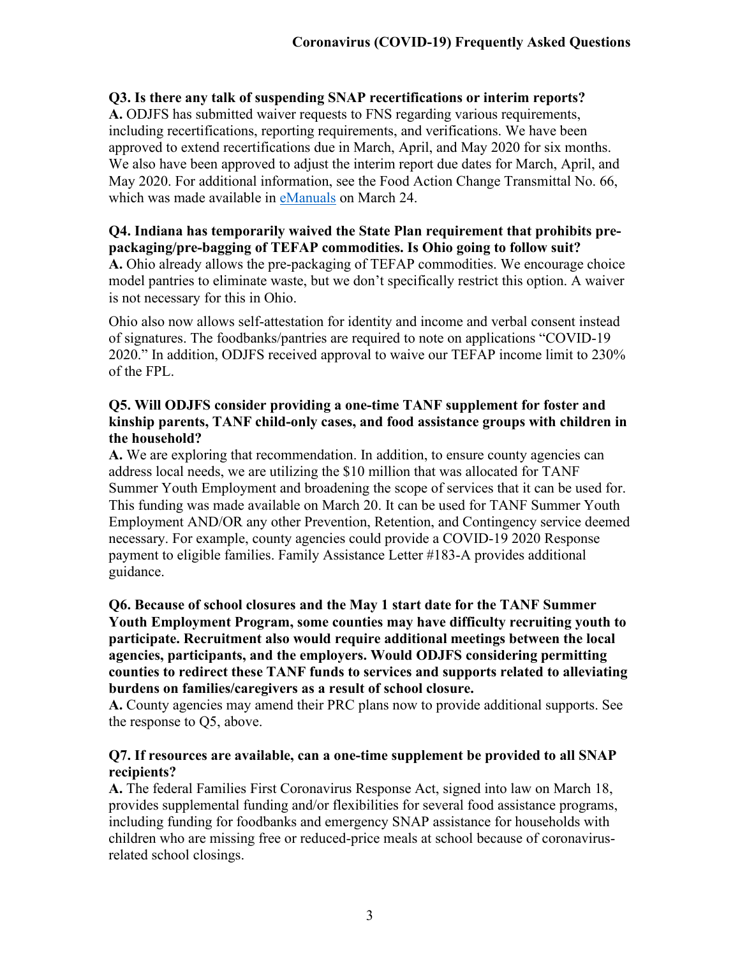### **Q3. Is there any talk of suspending SNAP recertifications or interim reports?**

**A.** ODJFS has submitted waiver requests to FNS regarding various requirements, including recertifications, reporting requirements, and verifications. We have been approved to extend recertifications due in March, April, and May 2020 for six months. We also have been approved to adjust the interim report due dates for March, April, and May 2020. For additional information, see the Food Action Change Transmittal No. 66, which was made available in [eManuals](http://emanuals.jfs.ohio.gov/index.stm) on March 24.

#### **Q4. Indiana has temporarily waived the State Plan requirement that prohibits prepackaging/pre-bagging of TEFAP commodities. Is Ohio going to follow suit?**

**A.** Ohio already allows the pre-packaging of TEFAP commodities. We encourage choice model pantries to eliminate waste, but we don't specifically restrict this option. A waiver is not necessary for this in Ohio.

Ohio also now allows self-attestation for identity and income and verbal consent instead of signatures. The foodbanks/pantries are required to note on applications "COVID-19 2020." In addition, ODJFS received approval to waive our TEFAP income limit to 230% of the FPL.

#### **Q5. Will ODJFS consider providing a one-time TANF supplement for foster and kinship parents, TANF child-only cases, and food assistance groups with children in the household?**

**A.** We are exploring that recommendation. In addition, to ensure county agencies can address local needs, we are utilizing the \$10 million that was allocated for TANF Summer Youth Employment and broadening the scope of services that it can be used for. This funding was made available on March 20. It can be used for TANF Summer Youth Employment AND/OR any other Prevention, Retention, and Contingency service deemed necessary. For example, county agencies could provide a COVID-19 2020 Response payment to eligible families. Family Assistance Letter #183-A provides additional guidance.

#### **Q6. Because of school closures and the May 1 start date for the TANF Summer Youth Employment Program, some counties may have difficulty recruiting youth to participate. Recruitment also would require additional meetings between the local agencies, participants, and the employers. Would ODJFS considering permitting counties to redirect these TANF funds to services and supports related to alleviating burdens on families/caregivers as a result of school closure.**

**A.** County agencies may amend their PRC plans now to provide additional supports. See the response to Q5, above.

#### **Q7. If resources are available, can a one-time supplement be provided to all SNAP recipients?**

**A.** The federal Families First Coronavirus Response Act, signed into law on March 18, provides supplemental funding and/or flexibilities for several food assistance programs, including funding for foodbanks and emergency SNAP assistance for households with children who are missing free or reduced-price meals at school because of coronavirusrelated school closings.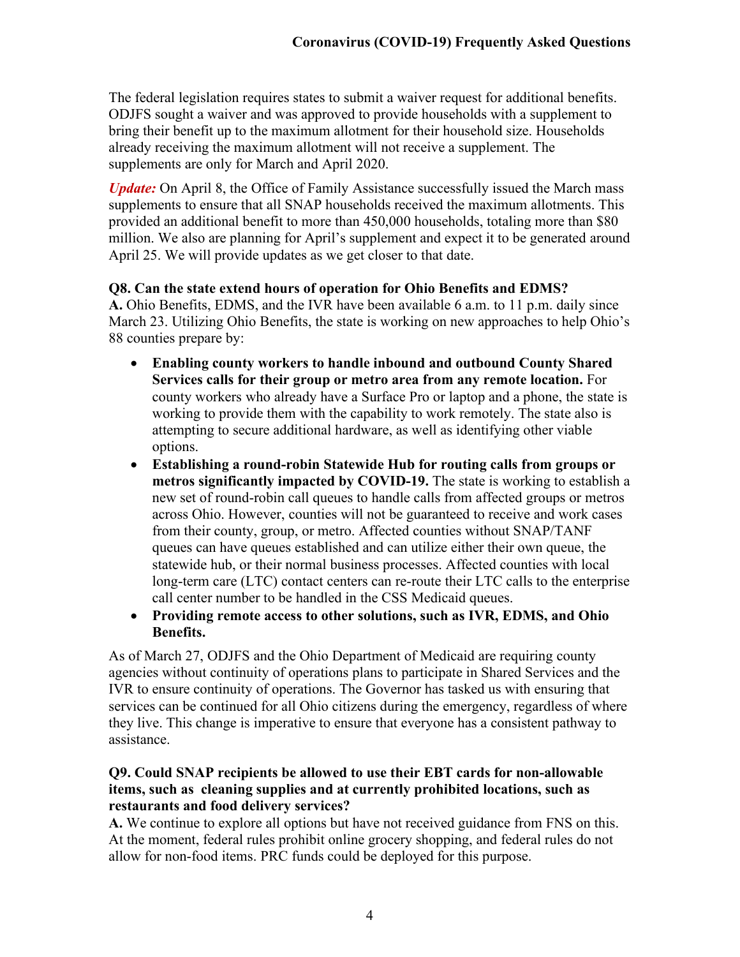The federal legislation requires states to submit a waiver request for additional benefits. ODJFS sought a waiver and was approved to provide households with a supplement to bring their benefit up to the maximum allotment for their household size. Households already receiving the maximum allotment will not receive a supplement. The supplements are only for March and April 2020.

*Update:* On April 8, the Office of Family Assistance successfully issued the March mass supplements to ensure that all SNAP households received the maximum allotments. This provided an additional benefit to more than 450,000 households, totaling more than \$80 million. We also are planning for April's supplement and expect it to be generated around April 25. We will provide updates as we get closer to that date.

#### **Q8. Can the state extend hours of operation for Ohio Benefits and EDMS?**

**A.** Ohio Benefits, EDMS, and the IVR have been available 6 a.m. to 11 p.m. daily since March 23. Utilizing Ohio Benefits, the state is working on new approaches to help Ohio's 88 counties prepare by:

- **Enabling county workers to handle inbound and outbound County Shared Services calls for their group or metro area from any remote location.** For county workers who already have a Surface Pro or laptop and a phone, the state is working to provide them with the capability to work remotely. The state also is attempting to secure additional hardware, as well as identifying other viable options.
- **Establishing a round-robin Statewide Hub for routing calls from groups or metros significantly impacted by COVID-19.** The state is working to establish a new set of round-robin call queues to handle calls from affected groups or metros across Ohio. However, counties will not be guaranteed to receive and work cases from their county, group, or metro. Affected counties without SNAP/TANF queues can have queues established and can utilize either their own queue, the statewide hub, or their normal business processes. Affected counties with local long-term care (LTC) contact centers can re-route their LTC calls to the enterprise call center number to be handled in the CSS Medicaid queues.
- **Providing remote access to other solutions, such as IVR, EDMS, and Ohio Benefits.**

As of March 27, ODJFS and the Ohio Department of Medicaid are requiring county agencies without continuity of operations plans to participate in Shared Services and the IVR to ensure continuity of operations. The Governor has tasked us with ensuring that services can be continued for all Ohio citizens during the emergency, regardless of where they live. This change is imperative to ensure that everyone has a consistent pathway to assistance.

#### **Q9. Could SNAP recipients be allowed to use their EBT cards for non-allowable items, such as cleaning supplies and at currently prohibited locations, such as restaurants and food delivery services?**

**A.** We continue to explore all options but have not received guidance from FNS on this. At the moment, federal rules prohibit online grocery shopping, and federal rules do not allow for non-food items. PRC funds could be deployed for this purpose.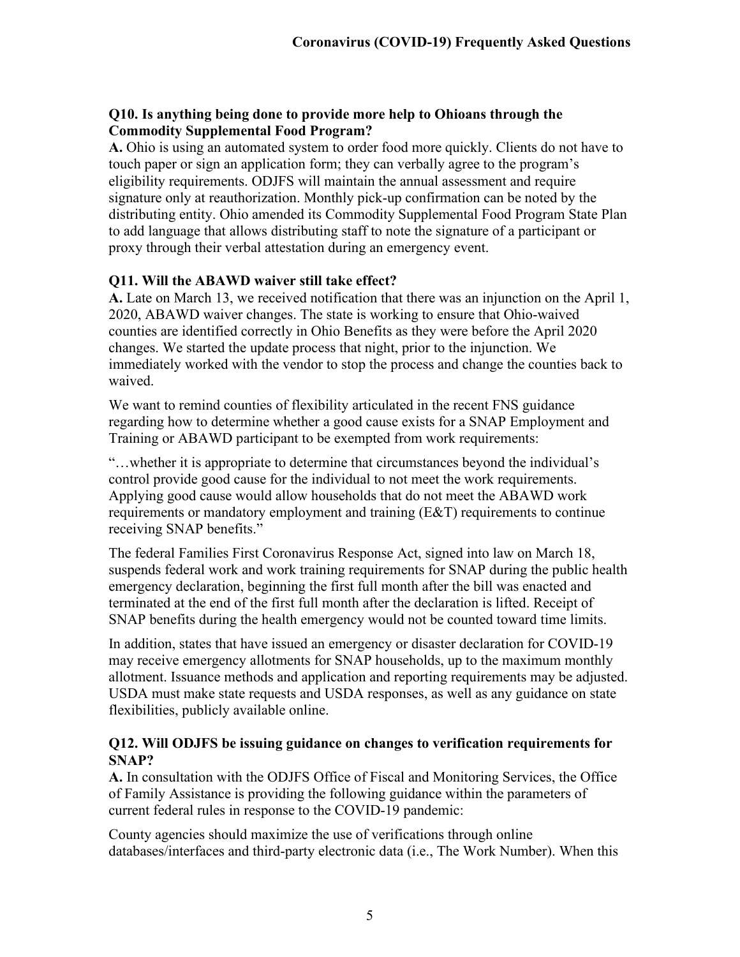## **Q10. Is anything being done to provide more help to Ohioans through the Commodity Supplemental Food Program?**

**A.** Ohio is using an automated system to order food more quickly. Clients do not have to touch paper or sign an application form; they can verbally agree to the program's eligibility requirements. ODJFS will maintain the annual assessment and require signature only at reauthorization. Monthly pick-up confirmation can be noted by the distributing entity. Ohio amended its Commodity Supplemental Food Program State Plan to add language that allows distributing staff to note the signature of a participant or proxy through their verbal attestation during an emergency event.

## **Q11. Will the ABAWD waiver still take effect?**

**A.** Late on March 13, we received notification that there was an injunction on the April 1, 2020, ABAWD waiver changes. The state is working to ensure that Ohio-waived counties are identified correctly in Ohio Benefits as they were before the April 2020 changes. We started the update process that night, prior to the injunction. We immediately worked with the vendor to stop the process and change the counties back to waived.

We want to remind counties of flexibility articulated in the recent FNS guidance regarding how to determine whether a good cause exists for a SNAP Employment and Training or ABAWD participant to be exempted from work requirements:

"…whether it is appropriate to determine that circumstances beyond the individual's control provide good cause for the individual to not meet the work requirements. Applying good cause would allow households that do not meet the ABAWD work requirements or mandatory employment and training (E&T) requirements to continue receiving SNAP benefits."

The federal Families First Coronavirus Response Act, signed into law on March 18, suspends federal work and work training requirements for SNAP during the public health emergency declaration, beginning the first full month after the bill was enacted and terminated at the end of the first full month after the declaration is lifted. Receipt of SNAP benefits during the health emergency would not be counted toward time limits.

In addition, states that have issued an emergency or disaster declaration for COVID-19 may receive emergency allotments for SNAP households, up to the maximum monthly allotment. Issuance methods and application and reporting requirements may be adjusted. USDA must make state requests and USDA responses, as well as any guidance on state flexibilities, publicly available online.

#### **Q12. Will ODJFS be issuing guidance on changes to verification requirements for SNAP?**

**A.** In consultation with the ODJFS Office of Fiscal and Monitoring Services, the Office of Family Assistance is providing the following guidance within the parameters of current federal rules in response to the COVID-19 pandemic:

County agencies should maximize the use of verifications through online databases/interfaces and third-party electronic data (i.e., The Work Number). When this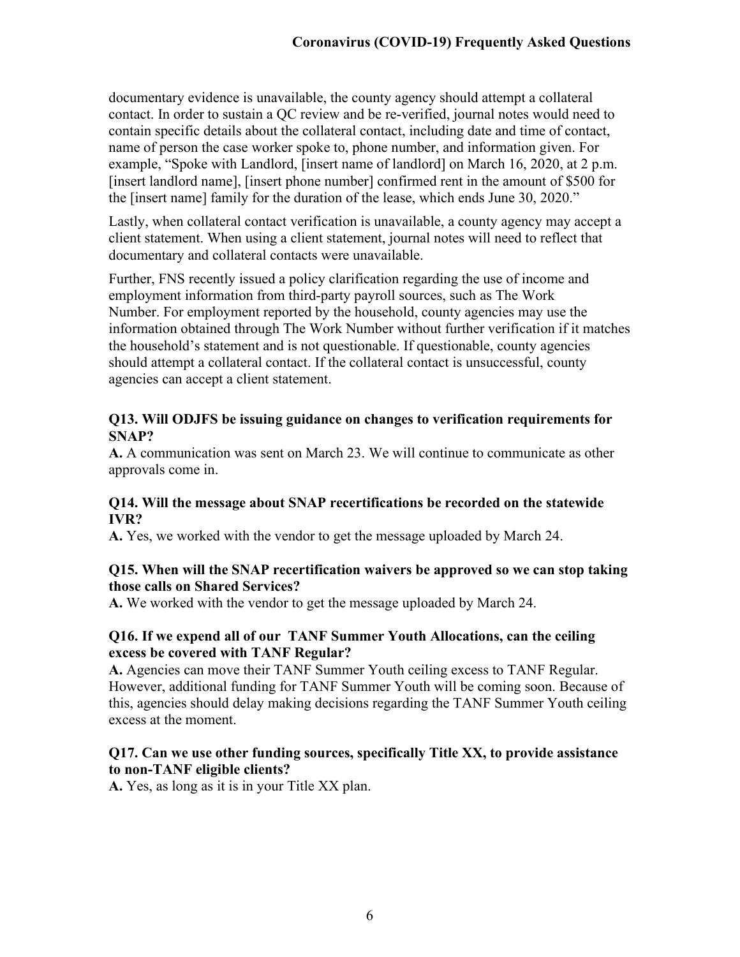documentary evidence is unavailable, the county agency should attempt a collateral contact. In order to sustain a QC review and be re-verified, journal notes would need to contain specific details about the collateral contact, including date and time of contact, name of person the case worker spoke to, phone number, and information given. For example, "Spoke with Landlord, [insert name of landlord] on March 16, 2020, at 2 p.m. [insert landlord name], [insert phone number] confirmed rent in the amount of \$500 for the [insert name] family for the duration of the lease, which ends June 30, 2020."

Lastly, when collateral contact verification is unavailable, a county agency may accept a client statement. When using a client statement, journal notes will need to reflect that documentary and collateral contacts were unavailable.

Further, FNS recently issued a policy clarification regarding the use of income and employment information from third-party payroll sources, such as The Work Number. For employment reported by the household, county agencies may use the information obtained through The Work Number without further verification if it matches the household's statement and is not questionable. If questionable, county agencies should attempt a collateral contact. If the collateral contact is unsuccessful, county agencies can accept a client statement.

#### **Q13. Will ODJFS be issuing guidance on changes to verification requirements for SNAP?**

**A.** A communication was sent on March 23. We will continue to communicate as other approvals come in.

#### **Q14. Will the message about SNAP recertifications be recorded on the statewide IVR?**

**A.** Yes, we worked with the vendor to get the message uploaded by March 24.

#### **Q15. When will the SNAP recertification waivers be approved so we can stop taking those calls on Shared Services?**

**A.** We worked with the vendor to get the message uploaded by March 24.

#### **Q16. If we expend all of our TANF Summer Youth Allocations, can the ceiling excess be covered with TANF Regular?**

**A.** Agencies can move their TANF Summer Youth ceiling excess to TANF Regular. However, additional funding for TANF Summer Youth will be coming soon. Because of this, agencies should delay making decisions regarding the TANF Summer Youth ceiling excess at the moment.

#### **Q17. Can we use other funding sources, specifically Title XX, to provide assistance to non-TANF eligible clients?**

**A.** Yes, as long as it is in your Title XX plan.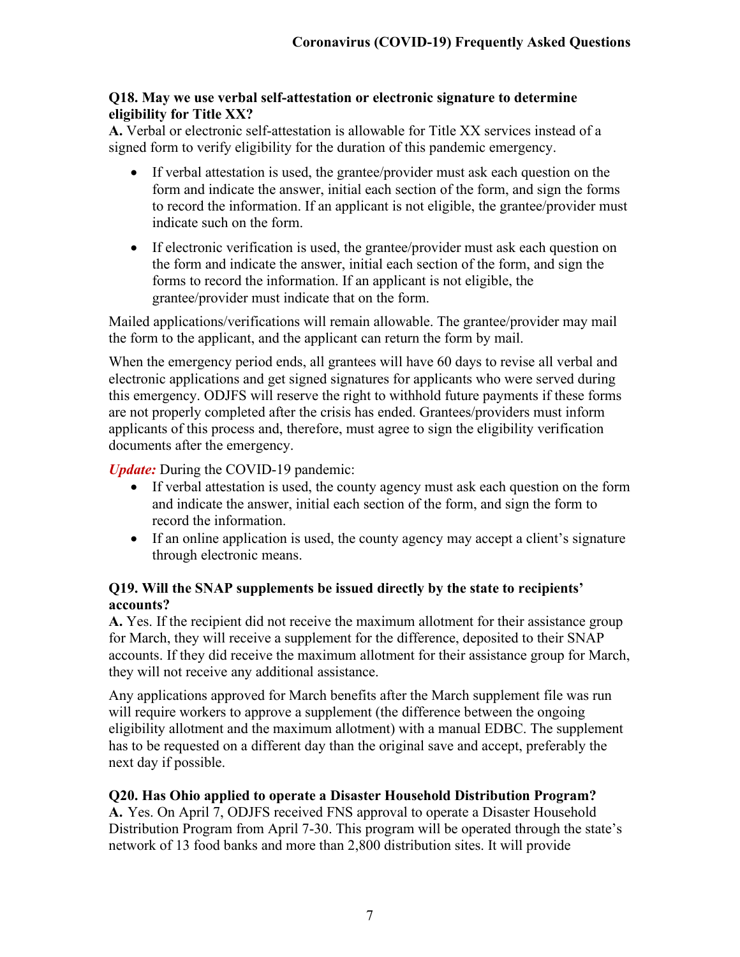### **Q18. May we use verbal self-attestation or electronic signature to determine eligibility for Title XX?**

**A.** Verbal or electronic self-attestation is allowable for Title XX services instead of a signed form to verify eligibility for the duration of this pandemic emergency.

- If verbal attestation is used, the grantee/provider must ask each question on the form and indicate the answer, initial each section of the form, and sign the forms to record the information. If an applicant is not eligible, the grantee/provider must indicate such on the form.
- If electronic verification is used, the grantee/provider must ask each question on the form and indicate the answer, initial each section of the form, and sign the forms to record the information. If an applicant is not eligible, the grantee/provider must indicate that on the form.

Mailed applications/verifications will remain allowable. The grantee/provider may mail the form to the applicant, and the applicant can return the form by mail.

When the emergency period ends, all grantees will have 60 days to revise all verbal and electronic applications and get signed signatures for applicants who were served during this emergency. ODJFS will reserve the right to withhold future payments if these forms are not properly completed after the crisis has ended. Grantees/providers must inform applicants of this process and, therefore, must agree to sign the eligibility verification documents after the emergency.

*Update:* During the COVID-19 pandemic:

- If verbal attestation is used, the county agency must ask each question on the form and indicate the answer, initial each section of the form, and sign the form to record the information.
- If an online application is used, the county agency may accept a client's signature through electronic means.

## **Q19. Will the SNAP supplements be issued directly by the state to recipients' accounts?**

**A.** Yes. If the recipient did not receive the maximum allotment for their assistance group for March, they will receive a supplement for the difference, deposited to their SNAP accounts. If they did receive the maximum allotment for their assistance group for March, they will not receive any additional assistance.

Any applications approved for March benefits after the March supplement file was run will require workers to approve a supplement (the difference between the ongoing eligibility allotment and the maximum allotment) with a manual EDBC. The supplement has to be requested on a different day than the original save and accept, preferably the next day if possible.

# **Q20. Has Ohio applied to operate a Disaster Household Distribution Program?**

**A.** Yes. On April 7, ODJFS received FNS approval to operate a Disaster Household Distribution Program from April 7-30. This program will be operated through the state's network of 13 food banks and more than 2,800 distribution sites. It will provide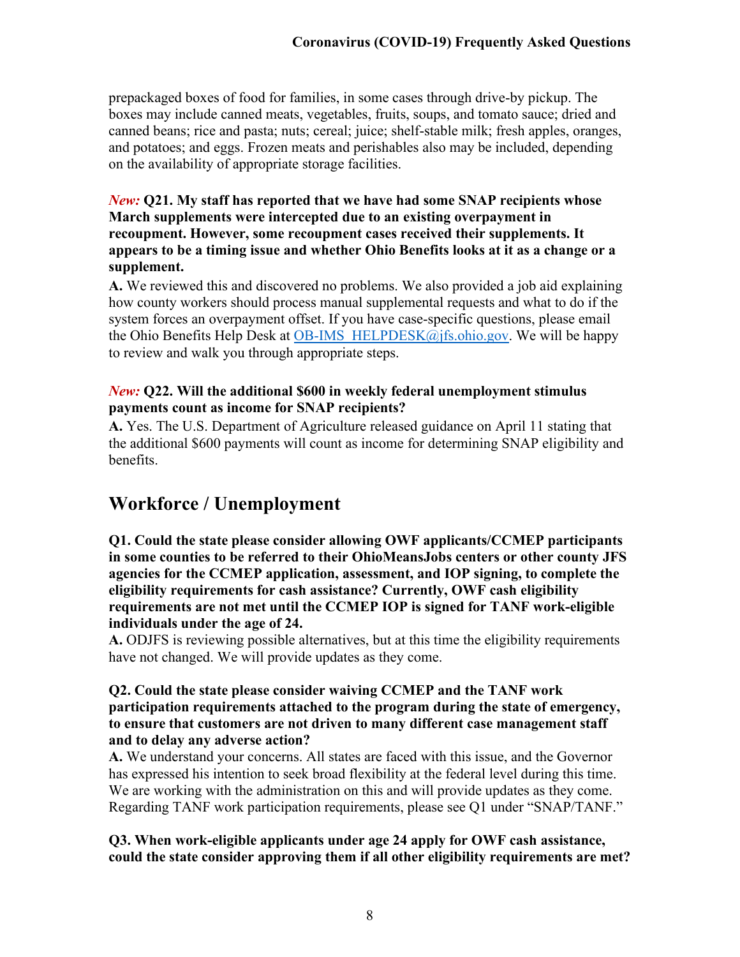prepackaged boxes of food for families, in some cases through drive-by pickup. The boxes may include canned meats, vegetables, fruits, soups, and tomato sauce; dried and canned beans; rice and pasta; nuts; cereal; juice; shelf-stable milk; fresh apples, oranges, and potatoes; and eggs. Frozen meats and perishables also may be included, depending on the availability of appropriate storage facilities.

#### *New:* **Q21. My staff has reported that we have had some SNAP recipients whose March supplements were intercepted due to an existing overpayment in recoupment. However, some recoupment cases received their supplements. It appears to be a timing issue and whether Ohio Benefits looks at it as a change or a supplement.**

**A.** We reviewed this and discovered no problems. We also provided a job aid explaining how county workers should process manual supplemental requests and what to do if the system forces an overpayment offset. If you have case-specific questions, please email the Ohio Benefits Help Desk at OB-IMS  $HELPDESK@ifs.ohio.gov.$  We will be happy to review and walk you through appropriate steps.

## *New:* **Q22. Will the additional \$600 in weekly federal unemployment stimulus payments count as income for SNAP recipients?**

**A.** Yes. The U.S. Department of Agriculture released guidance on April 11 stating that the additional \$600 payments will count as income for determining SNAP eligibility and benefits.

# <span id="page-7-0"></span>**Workforce / Unemployment**

**Q1. Could the state please consider allowing OWF applicants/CCMEP participants in some counties to be referred to their OhioMeansJobs centers or other county JFS agencies for the CCMEP application, assessment, and IOP signing, to complete the eligibility requirements for cash assistance? Currently, OWF cash eligibility requirements are not met until the CCMEP IOP is signed for TANF work-eligible individuals under the age of 24.**

**A.** ODJFS is reviewing possible alternatives, but at this time the eligibility requirements have not changed. We will provide updates as they come.

#### **Q2. Could the state please consider waiving CCMEP and the TANF work participation requirements attached to the program during the state of emergency, to ensure that customers are not driven to many different case management staff and to delay any adverse action?**

**A.** We understand your concerns. All states are faced with this issue, and the Governor has expressed his intention to seek broad flexibility at the federal level during this time. We are working with the administration on this and will provide updates as they come. Regarding TANF work participation requirements, please see Q1 under "SNAP/TANF."

#### **Q3. When work-eligible applicants under age 24 apply for OWF cash assistance, could the state consider approving them if all other eligibility requirements are met?**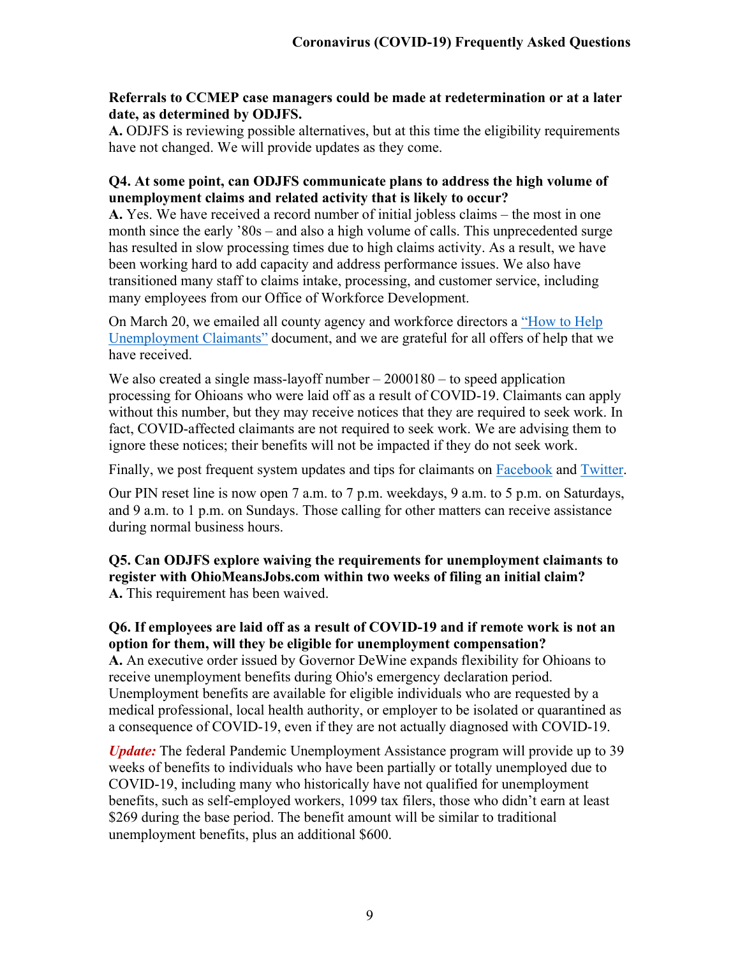#### **Referrals to CCMEP case managers could be made at redetermination or at a later date, as determined by ODJFS.**

**A.** ODJFS is reviewing possible alternatives, but at this time the eligibility requirements have not changed. We will provide updates as they come.

#### **Q4. At some point, can ODJFS communicate plans to address the high volume of unemployment claims and related activity that is likely to occur?**

**A.** Yes. We have received a record number of initial jobless claims – the most in one month since the early '80s – and also a high volume of calls. This unprecedented surge has resulted in slow processing times due to high claims activity. As a result, we have been working hard to add capacity and address performance issues. We also have transitioned many staff to claims intake, processing, and customer service, including many employees from our Office of Workforce Development.

On March 20, we emailed all county agency and workforce directors a ["How to Help](http://jfs.ohio.gov/ocomm/pdf/How-to-Help-Unemployment-Claimants.pdf)  [Unemployment Claimants"](http://jfs.ohio.gov/ocomm/pdf/How-to-Help-Unemployment-Claimants.pdf) document, and we are grateful for all offers of help that we have received.

We also created a single mass-layoff number  $-2000180 -$  to speed application processing for Ohioans who were laid off as a result of COVID-19. Claimants can apply without this number, but they may receive notices that they are required to seek work. In fact, COVID-affected claimants are not required to seek work. We are advising them to ignore these notices; their benefits will not be impacted if they do not seek work.

Finally, we post frequent system updates and tips for claimants on [Facebook](https://www.facebook.com/pages/Ohio-Department-of-Job-and-Family-Services/202612083112272) and [Twitter.](https://twitter.com/OhioJFS)

Our PIN reset line is now open 7 a.m. to 7 p.m. weekdays, 9 a.m. to 5 p.m. on Saturdays, and 9 a.m. to 1 p.m. on Sundays. Those calling for other matters can receive assistance during normal business hours.

**Q5. Can ODJFS explore waiving the requirements for unemployment claimants to register with OhioMeansJobs.com within two weeks of filing an initial claim? A.** This requirement has been waived.

#### **Q6. If employees are laid off as a result of COVID-19 and if remote work is not an option for them, will they be eligible for unemployment compensation?**

**A.** An executive order issued by Governor DeWine expands flexibility for Ohioans to receive unemployment benefits during Ohio's emergency declaration period. Unemployment benefits are available for eligible individuals who are requested by a medical professional, local health authority, or employer to be isolated or quarantined as a consequence of COVID-19, even if they are not actually diagnosed with COVID-19.

*Update:* The federal Pandemic Unemployment Assistance program will provide up to 39 weeks of benefits to individuals who have been partially or totally unemployed due to COVID-19, including many who historically have not qualified for unemployment benefits, such as self-employed workers, 1099 tax filers, those who didn't earn at least \$269 during the base period. The benefit amount will be similar to traditional unemployment benefits, plus an additional \$600.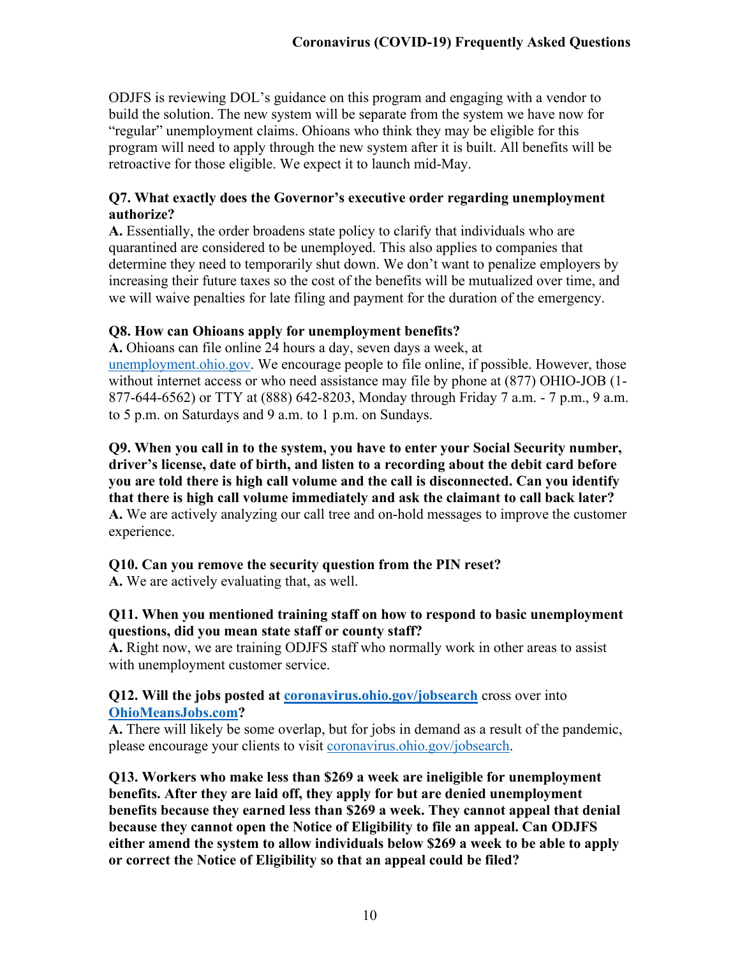ODJFS is reviewing DOL's guidance on this program and engaging with a vendor to build the solution. The new system will be separate from the system we have now for "regular" unemployment claims. Ohioans who think they may be eligible for this program will need to apply through the new system after it is built. All benefits will be retroactive for those eligible. We expect it to launch mid-May.

#### **Q7. What exactly does the Governor's executive order regarding unemployment authorize?**

**A.** Essentially, the order broadens state policy to clarify that individuals who are quarantined are considered to be unemployed. This also applies to companies that determine they need to temporarily shut down. We don't want to penalize employers by increasing their future taxes so the cost of the benefits will be mutualized over time, and we will waive penalties for late filing and payment for the duration of the emergency.

#### **Q8. How can Ohioans apply for unemployment benefits?**

**A.** Ohioans can file online 24 hours a day, seven days a week, at [unemployment.ohio.gov.](http://unemployment.ohio.gov/) We encourage people to file online, if possible. However, those without internet access or who need assistance may file by phone at (877) OHIO-JOB (1- 877-644-6562) or TTY at (888) 642-8203, Monday through Friday 7 a.m. - 7 p.m., 9 a.m. to 5 p.m. on Saturdays and 9 a.m. to 1 p.m. on Sundays.

<span id="page-9-0"></span>**Q9. When you call in to the system, you have to enter your Social Security number, driver's license, date of birth, and listen to a recording about the debit card before you are told there is high call volume and the call is disconnected. Can you identify that there is high call volume immediately and ask the claimant to call back later? A.** We are actively analyzing our call tree and on-hold messages to improve the customer experience.

# **Q10. Can you remove the security question from the PIN reset?**

**A.** We are actively evaluating that, as well.

## **Q11. When you mentioned training staff on how to respond to basic unemployment questions, did you mean state staff or county staff?**

**A.** Right now, we are training ODJFS staff who normally work in other areas to assist with unemployment customer service.

#### **Q12. Will the jobs posted at <b>coronavirus.ohio.gov/jobsearch** cross over into **[OhioMeansJobs.com?](http://www.coronavirus.ohio.gov/jobsearch%20cross%20over%20into%20OhioMeansJobs.com)**

**A.** There will likely be some overlap, but for jobs in demand as a result of the pandemic, please encourage your clients to visit [coronavirus.ohio.gov/jobsearch.](http://www.coronavirus.ohio.gov/jobsearch)

**Q13. Workers who make less than \$269 a week are ineligible for unemployment benefits. After they are laid off, they apply for but are denied unemployment benefits because they earned less than \$269 a week. They cannot appeal that denial because they cannot open the Notice of Eligibility to file an appeal. Can ODJFS either amend the system to allow individuals below \$269 a week to be able to apply or correct the Notice of Eligibility so that an appeal could be filed?**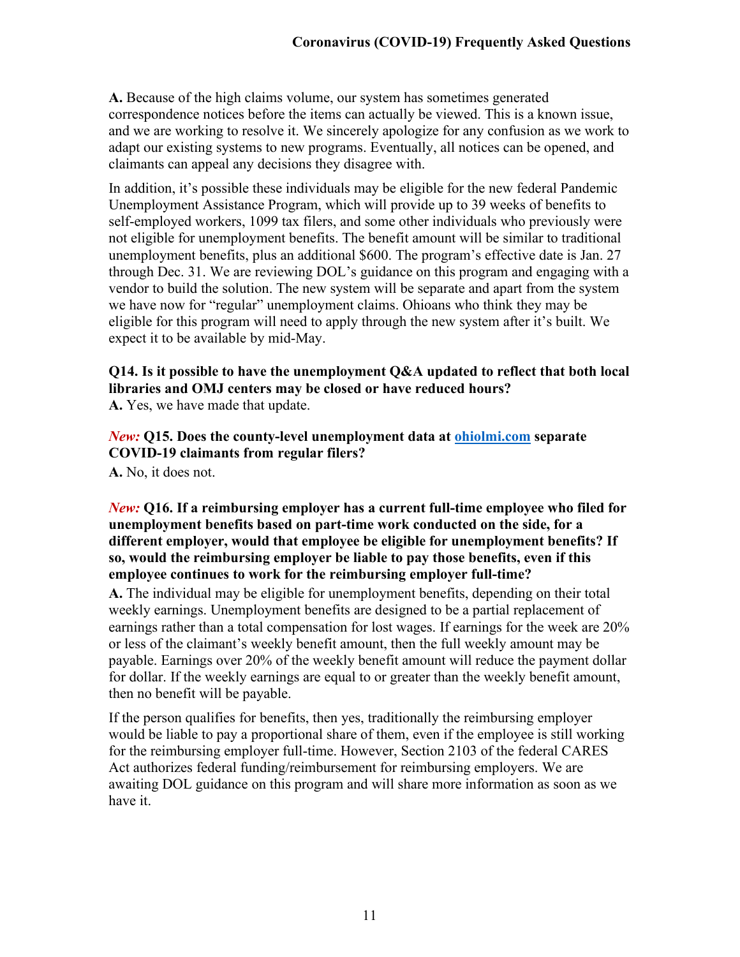**A.** Because of the high claims volume, our system has sometimes generated correspondence notices before the items can actually be viewed. This is a known issue, and we are working to resolve it. We sincerely apologize for any confusion as we work to adapt our existing systems to new programs. Eventually, all notices can be opened, and claimants can appeal any decisions they disagree with.

In addition, it's possible these individuals may be eligible for the new federal Pandemic Unemployment Assistance Program, which will provide up to 39 weeks of benefits to self-employed workers, 1099 tax filers, and some other individuals who previously were not eligible for unemployment benefits. The benefit amount will be similar to traditional unemployment benefits, plus an additional \$600. The program's effective date is Jan. 27 through Dec. 31. We are reviewing DOL's guidance on this program and engaging with a vendor to build the solution. The new system will be separate and apart from the system we have now for "regular" unemployment claims. Ohioans who think they may be eligible for this program will need to apply through the new system after it's built. We expect it to be available by mid-May.

# **Q14. Is it possible to have the unemployment Q&A updated to reflect that both local libraries and OMJ centers may be closed or have reduced hours?**

**A.** Yes, we have made that update.

*New:* **Q15. Does the county-level unemployment data at [ohiolmi.com](http://www.ohiolmi.com/) separate COVID-19 claimants from regular filers?**

**A.** No, it does not.

#### *New:* **Q16. If a reimbursing employer has a current full-time employee who filed for unemployment benefits based on part-time work conducted on the side, for a different employer, would that employee be eligible for unemployment benefits? If so, would the reimbursing employer be liable to pay those benefits, even if this employee continues to work for the reimbursing employer full-time?**

**A.** The individual may be eligible for unemployment benefits, depending on their total weekly earnings. Unemployment benefits are designed to be a partial replacement of earnings rather than a total compensation for lost wages. If earnings for the week are 20% or less of the claimant's weekly benefit amount, then the full weekly amount may be payable. Earnings over 20% of the weekly benefit amount will reduce the payment dollar for dollar. If the weekly earnings are equal to or greater than the weekly benefit amount, then no benefit will be payable.

If the person qualifies for benefits, then yes, traditionally the reimbursing employer would be liable to pay a proportional share of them, even if the employee is still working for the reimbursing employer full-time. However, Section 2103 of the federal CARES Act authorizes federal funding/reimbursement for reimbursing employers. We are awaiting DOL guidance on this program and will share more information as soon as we have it.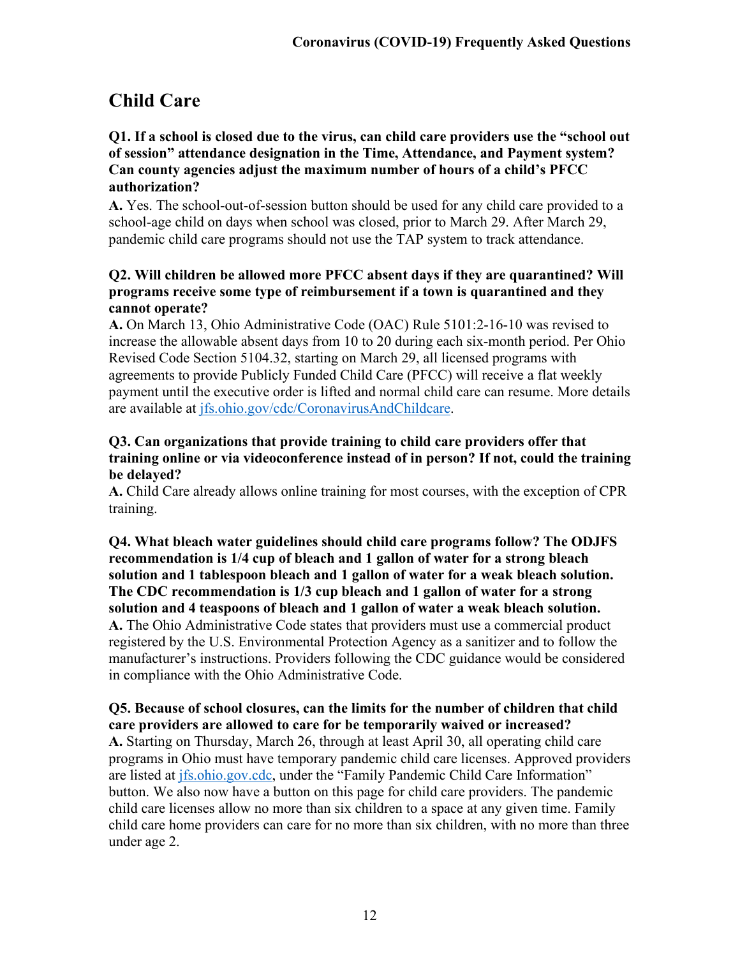# **Child Care**

#### **Q1. If a school is closed due to the virus, can child care providers use the "school out of session" attendance designation in the Time, Attendance, and Payment system? Can county agencies adjust the maximum number of hours of a child's PFCC authorization?**

**A.** Yes. The school-out-of-session button should be used for any child care provided to a school-age child on days when school was closed, prior to March 29. After March 29, pandemic child care programs should not use the TAP system to track attendance.

#### **Q2. Will children be allowed more PFCC absent days if they are quarantined? Will programs receive some type of reimbursement if a town is quarantined and they cannot operate?**

**A.** On March 13, Ohio Administrative Code (OAC) Rule 5101:2-16-10 was revised to increase the allowable absent days from 10 to 20 during each six-month period. Per Ohio Revised Code Section 5104.32, starting on March 29, all licensed programs with agreements to provide Publicly Funded Child Care (PFCC) will receive a flat weekly payment until the executive order is lifted and normal child care can resume. More details are available at [jfs.ohio.gov/cdc/CoronavirusAndChildcare.](http://jfs.ohio.gov/cdc/CoronavirusAndChildcare/)

### **Q3. Can organizations that provide training to child care providers offer that training online or via videoconference instead of in person? If not, could the training be delayed?**

**A.** Child Care already allows online training for most courses, with the exception of CPR training.

# **Q4. What bleach water guidelines should child care programs follow? The ODJFS recommendation is 1/4 cup of bleach and 1 gallon of water for a strong bleach solution and 1 tablespoon bleach and 1 gallon of water for a weak bleach solution. The CDC recommendation is 1/3 cup bleach and 1 gallon of water for a strong solution and 4 teaspoons of bleach and 1 gallon of water a weak bleach solution.**

**A.** The Ohio Administrative Code states that providers must use a commercial product registered by the U.S. Environmental Protection Agency as a sanitizer and to follow the manufacturer's instructions. Providers following the CDC guidance would be considered in compliance with the Ohio Administrative Code.

# **Q5. Because of school closures, can the limits for the number of children that child care providers are allowed to care for be temporarily waived or increased?**

**A.** Starting on Thursday, March 26, through at least April 30, all operating child care programs in Ohio must have temporary pandemic child care licenses. Approved providers are listed at [jfs.ohio.gov.cdc,](http://jfs.ohio.gov/CDC/) under the "Family Pandemic Child Care Information" button. We also now have a button on this page for child care providers. The pandemic child care licenses allow no more than six children to a space at any given time. Family child care home providers can care for no more than six children, with no more than three under age 2.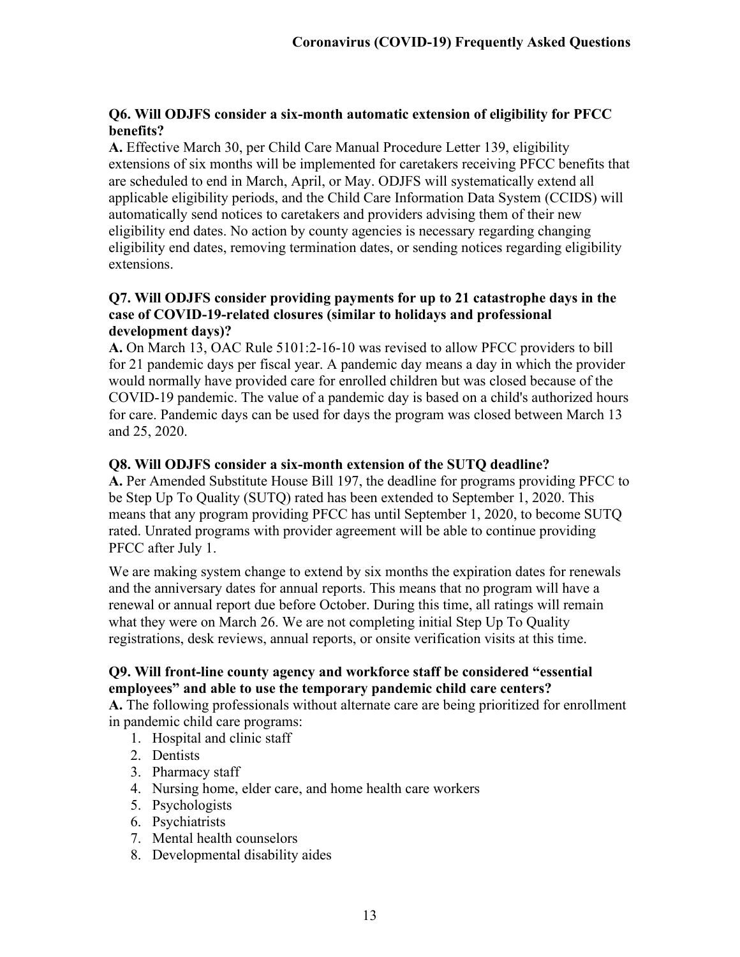## **Q6. Will ODJFS consider a six-month automatic extension of eligibility for PFCC benefits?**

**A.** Effective March 30, per Child Care Manual Procedure Letter 139, eligibility extensions of six months will be implemented for caretakers receiving PFCC benefits that are scheduled to end in March, April, or May. ODJFS will systematically extend all applicable eligibility periods, and the Child Care Information Data System (CCIDS) will automatically send notices to caretakers and providers advising them of their new eligibility end dates. No action by county agencies is necessary regarding changing eligibility end dates, removing termination dates, or sending notices regarding eligibility extensions.

#### **Q7. Will ODJFS consider providing payments for up to 21 catastrophe days in the case of COVID-19-related closures (similar to holidays and professional development days)?**

**A.** On March 13, OAC Rule 5101:2-16-10 was revised to allow PFCC providers to bill for 21 pandemic days per fiscal year. A pandemic day means a day in which the provider would normally have provided care for enrolled children but was closed because of the COVID-19 pandemic. The value of a pandemic day is based on a child's authorized hours for care. Pandemic days can be used for days the program was closed between March 13 and 25, 2020.

#### **Q8. Will ODJFS consider a six-month extension of the SUTQ deadline?**

**A.** Per Amended Substitute House Bill 197, the deadline for programs providing PFCC to be Step Up To Quality (SUTQ) rated has been extended to September 1, 2020. This means that any program providing PFCC has until September 1, 2020, to become SUTQ rated. Unrated programs with provider agreement will be able to continue providing PFCC after July 1.

We are making system change to extend by six months the expiration dates for renewals and the anniversary dates for annual reports. This means that no program will have a renewal or annual report due before October. During this time, all ratings will remain what they were on March 26. We are not completing initial Step Up To Quality registrations, desk reviews, annual reports, or onsite verification visits at this time.

#### **Q9. Will front-line county agency and workforce staff be considered "essential employees" and able to use the temporary pandemic child care centers?**

**A.** The following professionals without alternate care are being prioritized for enrollment in pandemic child care programs:

- 1. Hospital and clinic staff
- 2. Dentists
- 3. Pharmacy staff
- 4. Nursing home, elder care, and home health care workers
- 5. Psychologists
- 6. Psychiatrists
- 7. Mental health counselors
- 8. Developmental disability aides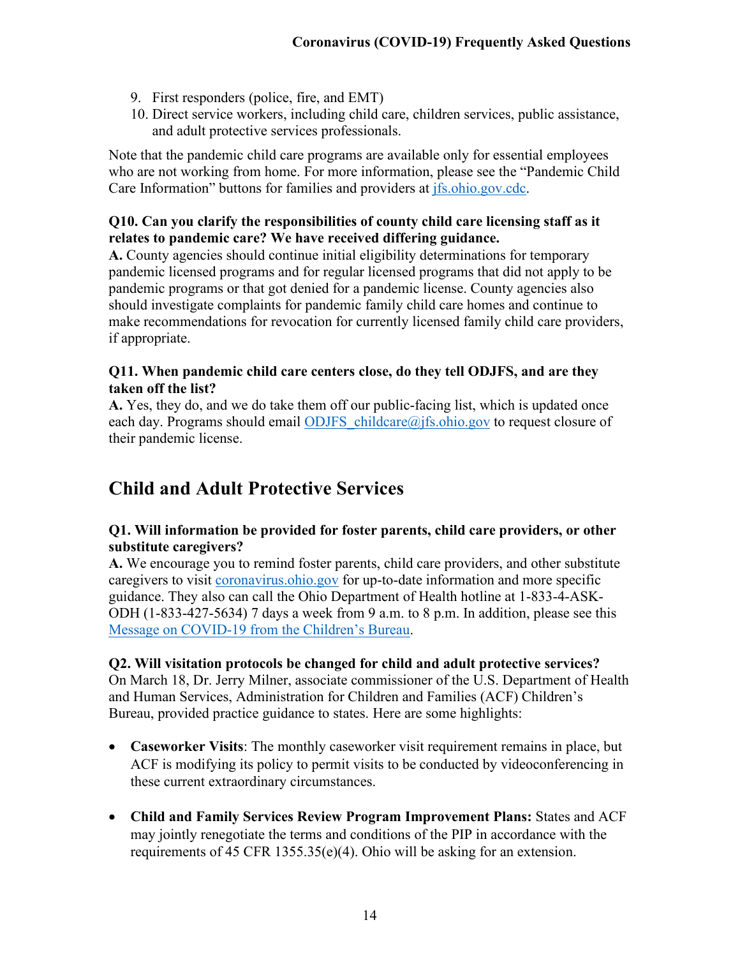- 9. First responders (police, fire, and EMT)
- 10. Direct service workers, including child care, children services, public assistance, and adult protective services professionals.

Note that the pandemic child care programs are available only for essential employees who are not working from home. For more information, please see the "Pandemic Child Care Information" buttons for families and providers at *jfs.ohio.gov.cdc.* 

## **Q10. Can you clarify the responsibilities of county child care licensing staff as it relates to pandemic care? We have received differing guidance.**

**A.** County agencies should continue initial eligibility determinations for temporary pandemic licensed programs and for regular licensed programs that did not apply to be pandemic programs or that got denied for a pandemic license. County agencies also should investigate complaints for pandemic family child care homes and continue to make recommendations for revocation for currently licensed family child care providers, if appropriate.

## **Q11. When pandemic child care centers close, do they tell ODJFS, and are they taken off the list?**

**A.** Yes, they do, and we do take them off our public-facing list, which is updated once each day. Programs should email ODJFS childcare@jfs.ohio.gov to request closure of their pandemic license.

# <span id="page-13-0"></span>**Child and Adult Protective Services**

## **Q1. Will information be provided for foster parents, child care providers, or other substitute caregivers?**

**A.** We encourage you to remind foster parents, child care providers, and other substitute caregivers to visit [coronavirus.ohio.gov](https://coronavirus.ohio.gov/wps/portal/gov/covid-19/) for up-to-date information and more specific guidance. They also can call the Ohio Department of Health hotline at 1-833-4-ASK-ODH (1-833-427-5634) 7 days a week from 9 a.m. to 8 p.m. In addition, please see this [Message on COVID-19 from the](http://jfs.ohio.gov/ocomm/pdf/Childrens-Bureau-COVID-19.pdf) Children's Bureau.

# **Q2. Will visitation protocols be changed for child and adult protective services?**

On March 18, Dr. Jerry Milner, associate commissioner of the U.S. Department of Health and Human Services, Administration for Children and Families (ACF) Children's Bureau, provided practice guidance to states. Here are some highlights:

- **Caseworker Visits**: The monthly caseworker visit requirement remains in place, but ACF is modifying its policy to permit visits to be conducted by videoconferencing in these current extraordinary circumstances.
- **Child and Family Services Review Program Improvement Plans:** States and ACF may jointly renegotiate the terms and conditions of the PIP in accordance with the requirements of 45 CFR 1355.35(e)(4). Ohio will be asking for an extension.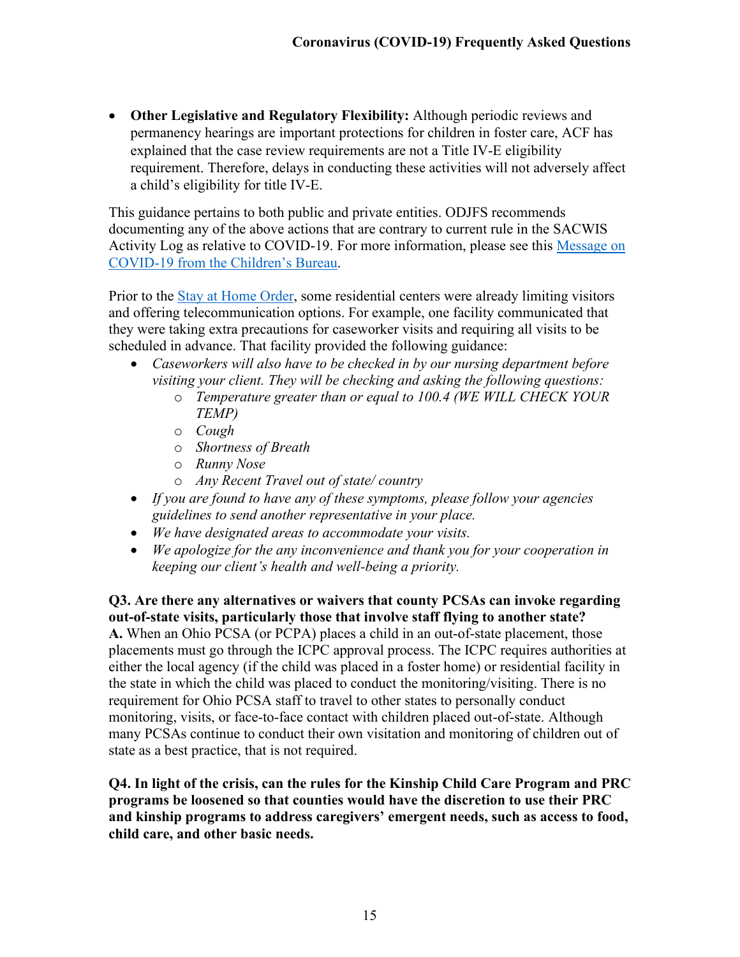• **Other Legislative and Regulatory Flexibility:** Although periodic reviews and permanency hearings are important protections for children in foster care, ACF has explained that the case review requirements are not a Title IV-E eligibility requirement. Therefore, delays in conducting these activities will not adversely affect a child's eligibility for title IV-E.

This guidance pertains to both public and private entities. ODJFS recommends documenting any of the above actions that are contrary to current rule in the SACWIS Activity Log as relative to COVID-19. For more information, please see this [Message on](http://jfs.ohio.gov/ocomm/pdf/Childrens-Bureau-COVID-19.pdf)  [COVID-19 from the Children's Bureau.](http://jfs.ohio.gov/ocomm/pdf/Childrens-Bureau-COVID-19.pdf)

Prior to the [Stay at Home Order,](http://jfs.ohio.gov/ocomm/pdf/Directors-Order-Stay-at-Home.pdf) some residential centers were already limiting visitors and offering telecommunication options. For example, one facility communicated that they were taking extra precautions for caseworker visits and requiring all visits to be scheduled in advance. That facility provided the following guidance:

- *Caseworkers will also have to be checked in by our nursing department before visiting your client. They will be checking and asking the following questions:*
	- o *Temperature greater than or equal to 100.4 (WE WILL CHECK YOUR TEMP)*
	- o *Cough*
	- o *Shortness of Breath*
	- o *Runny Nose*
	- o *Any Recent Travel out of state/ country*
- *If you are found to have any of these symptoms, please follow your agencies guidelines to send another representative in your place.*
- *We have designated areas to accommodate your visits.*
- *We apologize for the any inconvenience and thank you for your cooperation in keeping our client's health and well-being a priority.*

#### **Q3. Are there any alternatives or waivers that county PCSAs can invoke regarding out-of-state visits, particularly those that involve staff flying to another state?**

**A.** When an Ohio PCSA (or PCPA) places a child in an out-of-state placement, those placements must go through the ICPC approval process. The ICPC requires authorities at either the local agency (if the child was placed in a foster home) or residential facility in the state in which the child was placed to conduct the monitoring/visiting. There is no requirement for Ohio PCSA staff to travel to other states to personally conduct monitoring, visits, or face-to-face contact with children placed out-of-state. Although many PCSAs continue to conduct their own visitation and monitoring of children out of state as a best practice, that is not required.

**Q4. In light of the crisis, can the rules for the Kinship Child Care Program and PRC programs be loosened so that counties would have the discretion to use their PRC and kinship programs to address caregivers' emergent needs, such as access to food, child care, and other basic needs.**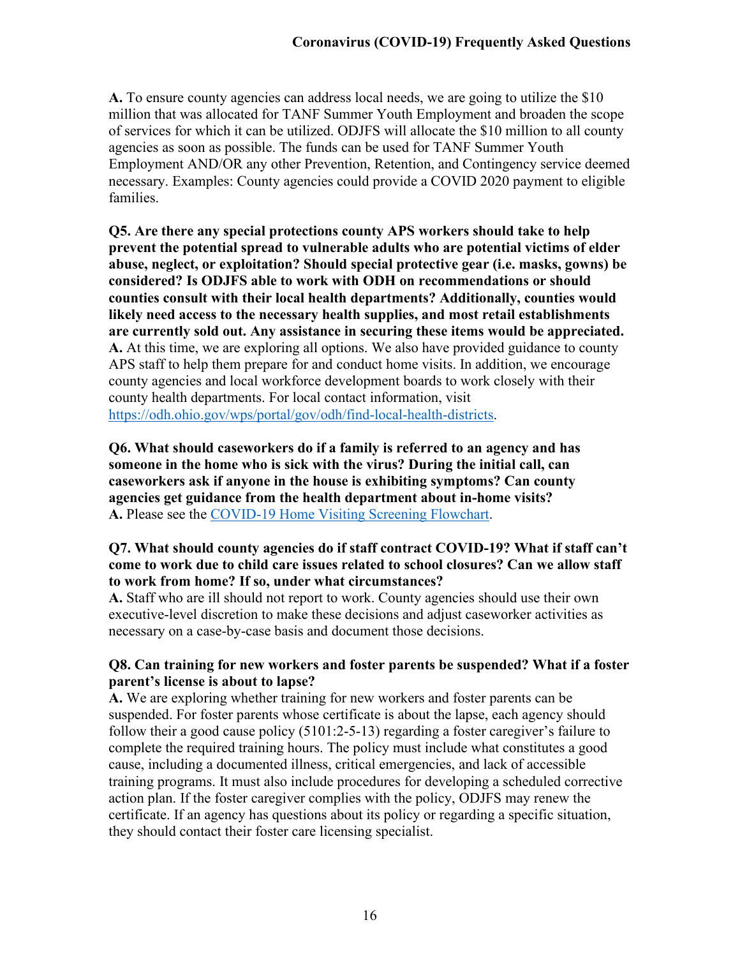**A.** To ensure county agencies can address local needs, we are going to utilize the \$10 million that was allocated for TANF Summer Youth Employment and broaden the scope of services for which it can be utilized. ODJFS will allocate the \$10 million to all county agencies as soon as possible. The funds can be used for TANF Summer Youth Employment AND/OR any other Prevention, Retention, and Contingency service deemed necessary. Examples: County agencies could provide a COVID 2020 payment to eligible families.

**Q5. Are there any special protections county APS workers should take to help prevent the potential spread to vulnerable adults who are potential victims of elder abuse, neglect, or exploitation? Should special protective gear (i.e. masks, gowns) be considered? Is ODJFS able to work with ODH on recommendations or should counties consult with their local health departments? Additionally, counties would likely need access to the necessary health supplies, and most retail establishments are currently sold out. Any assistance in securing these items would be appreciated. A.** At this time, we are exploring all options. We also have provided guidance to county APS staff to help them prepare for and conduct home visits. In addition, we encourage county agencies and local workforce development boards to work closely with their county health departments. For local contact information, visit [https://odh.ohio.gov/wps/portal/gov/odh/find-local-health-districts.](https://odh.ohio.gov/wps/portal/gov/odh/find-local-health-districts)

**Q6. What should caseworkers do if a family is referred to an agency and has someone in the home who is sick with the virus? During the initial call, can caseworkers ask if anyone in the house is exhibiting symptoms? Can county agencies get guidance from the health department about in-home visits? A.** Please see the [COVID-19 Home Visiting Screening Flowchart.](http://jfs.ohio.gov/ocomm/pdf/COVID-19-visit-flowchart.pdf)

## **Q7. What should county agencies do if staff contract COVID-19? What if staff can't come to work due to child care issues related to school closures? Can we allow staff to work from home? If so, under what circumstances?**

**A.** Staff who are ill should not report to work. County agencies should use their own executive-level discretion to make these decisions and adjust caseworker activities as necessary on a case-by-case basis and document those decisions.

## **Q8. Can training for new workers and foster parents be suspended? What if a foster parent's license is about to lapse?**

**A.** We are exploring whether training for new workers and foster parents can be suspended. For foster parents whose certificate is about the lapse, each agency should follow their a good cause policy (5101:2-5-13) regarding a foster caregiver's failure to complete the required training hours. The policy must include what constitutes a good cause, including a documented illness, critical emergencies, and lack of accessible training programs. It must also include procedures for developing a scheduled corrective action plan. If the foster caregiver complies with the policy, ODJFS may renew the certificate. If an agency has questions about its policy or regarding a specific situation, they should contact their foster care licensing specialist.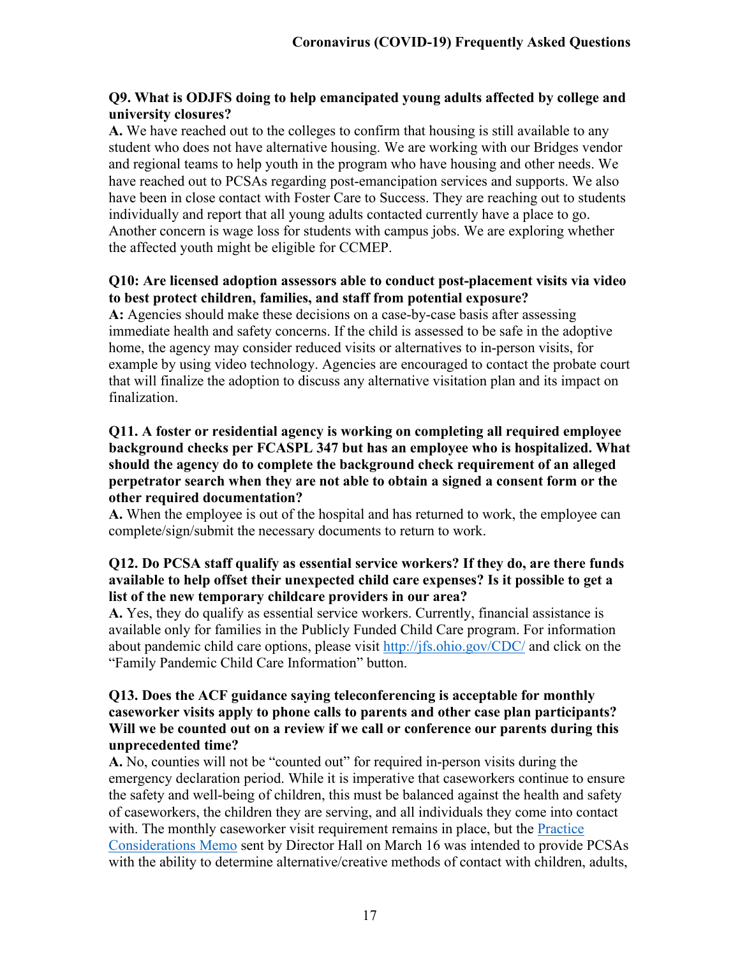#### **Q9. What is ODJFS doing to help emancipated young adults affected by college and university closures?**

**A.** We have reached out to the colleges to confirm that housing is still available to any student who does not have alternative housing. We are working with our Bridges vendor and regional teams to help youth in the program who have housing and other needs. We have reached out to PCSAs regarding post-emancipation services and supports. We also have been in close contact with Foster Care to Success. They are reaching out to students individually and report that all young adults contacted currently have a place to go. Another concern is wage loss for students with campus jobs. We are exploring whether the affected youth might be eligible for CCMEP.

## **Q10: Are licensed adoption assessors able to conduct post-placement visits via video to best protect children, families, and staff from potential exposure?**

**A:** Agencies should make these decisions on a case-by-case basis after assessing immediate health and safety concerns. If the child is assessed to be safe in the adoptive home, the agency may consider reduced visits or alternatives to in-person visits, for example by using video technology. Agencies are encouraged to contact the probate court that will finalize the adoption to discuss any alternative visitation plan and its impact on finalization.

#### **Q11. A foster or residential agency is working on completing all required employee background checks per FCASPL 347 but has an employee who is hospitalized. What should the agency do to complete the background check requirement of an alleged perpetrator search when they are not able to obtain a signed a consent form or the other required documentation?**

**A.** When the employee is out of the hospital and has returned to work, the employee can complete/sign/submit the necessary documents to return to work.

#### **Q12. Do PCSA staff qualify as essential service workers? If they do, are there funds available to help offset their unexpected child care expenses? Is it possible to get a list of the new temporary childcare providers in our area?**

**A.** Yes, they do qualify as essential service workers. Currently, financial assistance is available only for families in the Publicly Funded Child Care program. For information about pandemic child care options, please visit<http://jfs.ohio.gov/CDC/> and click on the "Family Pandemic Child Care Information" button.

#### **Q13. Does the ACF guidance saying teleconferencing is acceptable for monthly caseworker visits apply to phone calls to parents and other case plan participants? Will we be counted out on a review if we call or conference our parents during this unprecedented time?**

**A.** No, counties will not be "counted out" for required in-person visits during the emergency declaration period. While it is imperative that caseworkers continue to ensure the safety and well-being of children, this must be balanced against the health and safety of caseworkers, the children they are serving, and all individuals they come into contact with. The monthly caseworker visit requirement remains in place, but the Practice [Considerations Memo](http://jfs.ohio.gov/ocomm/pdf/Children-Services-Practices-Consideration-Memo-2020-03-16.pdf) sent by Director Hall on March 16 was intended to provide PCSAs with the ability to determine alternative/creative methods of contact with children, adults,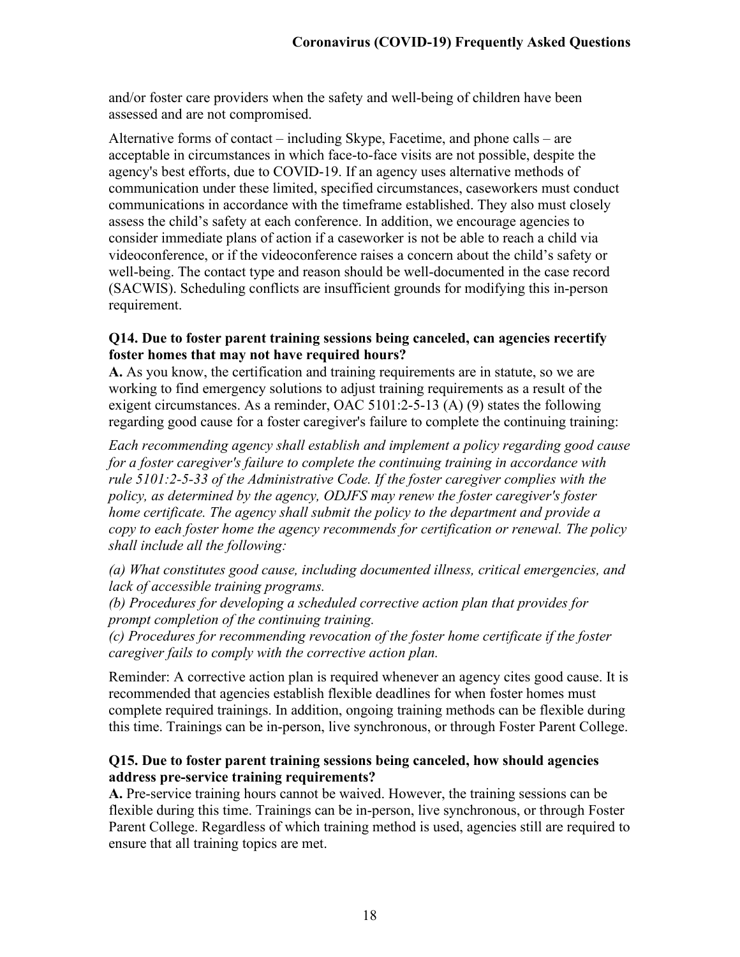and/or foster care providers when the safety and well-being of children have been assessed and are not compromised.

Alternative forms of contact – including Skype, Facetime, and phone calls – are acceptable in circumstances in which face-to-face visits are not possible, despite the agency's best efforts, due to COVID-19. If an agency uses alternative methods of communication under these limited, specified circumstances, caseworkers must conduct communications in accordance with the timeframe established. They also must closely assess the child's safety at each conference. In addition, we encourage agencies to consider immediate plans of action if a caseworker is not be able to reach a child via videoconference, or if the videoconference raises a concern about the child's safety or well-being. The contact type and reason should be well-documented in the case record (SACWIS). Scheduling conflicts are insufficient grounds for modifying this in-person requirement.

#### **Q14. Due to foster parent training sessions being canceled, can agencies recertify foster homes that may not have required hours?**

**A.** As you know, the certification and training requirements are in statute, so we are working to find emergency solutions to adjust training requirements as a result of the exigent circumstances. As a reminder, OAC 5101:2-5-13 (A) (9) states the following regarding good cause for a foster caregiver's failure to complete the continuing training:

*Each recommending agency shall establish and implement a policy regarding good cause for a foster caregiver's failure to complete the continuing training in accordance with rule [5101:2-5-33](http://codes.ohio.gov/oac/5101:2-5-33) of the Administrative Code. If the foster caregiver complies with the policy, as determined by the agency, ODJFS may renew the foster caregiver's foster home certificate. The agency shall submit the policy to the department and provide a copy to each foster home the agency recommends for certification or renewal. The policy shall include all the following:*

*(a) What constitutes good cause, including documented illness, critical emergencies, and lack of accessible training programs.*

*(b) Procedures for developing a scheduled corrective action plan that provides for prompt completion of the continuing training.*

*(c) Procedures for recommending revocation of the foster home certificate if the foster caregiver fails to comply with the corrective action plan.*

Reminder: A corrective action plan is required whenever an agency cites good cause. It is recommended that agencies establish flexible deadlines for when foster homes must complete required trainings. In addition, ongoing training methods can be flexible during this time. Trainings can be in-person, live synchronous, or through Foster Parent College.

#### **Q15. Due to foster parent training sessions being canceled, how should agencies address pre-service training requirements?**

**A.** Pre-service training hours cannot be waived. However, the training sessions can be flexible during this time. Trainings can be in-person, live synchronous, or through Foster Parent College. Regardless of which training method is used, agencies still are required to ensure that all training topics are met.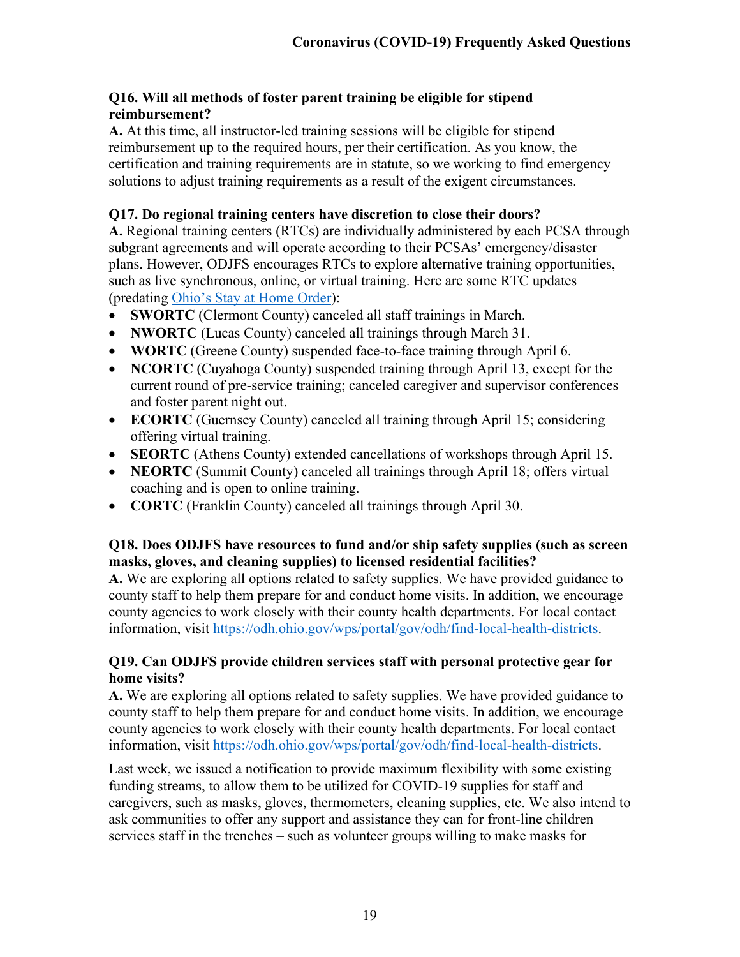## **Q16. Will all methods of foster parent training be eligible for stipend reimbursement?**

**A.** At this time, all instructor-led training sessions will be eligible for stipend reimbursement up to the required hours, per their certification. As you know, the certification and training requirements are in statute, so we working to find emergency solutions to adjust training requirements as a result of the exigent circumstances.

## **Q17. Do regional training centers have discretion to close their doors?**

**A.** Regional training centers (RTCs) are individually administered by each PCSA through subgrant agreements and will operate according to their PCSAs' emergency/disaster plans. However, ODJFS encourages RTCs to explore alternative training opportunities, such as live synchronous, online, or virtual training. Here are some RTC updates (predating Ohio's [Stay at Home Order\)](https://coronavirus.ohio.gov/wps/portal/gov/covid-19/home/public-health-orders/directors-order-to-stay-at-home):

- **SWORTC** (Clermont County) canceled all staff trainings in March.
- **NWORTC** (Lucas County) canceled all trainings through March 31.
- **WORTC** (Greene County) suspended face-to-face training through April 6.
- **NCORTC** (Cuyahoga County) suspended training through April 13, except for the current round of pre-service training; canceled caregiver and supervisor conferences and foster parent night out.
- **ECORTC** (Guernsey County) canceled all training through April 15; considering offering virtual training.
- **SEORTC** (Athens County) extended cancellations of workshops through April 15.
- **NEORTC** (Summit County) canceled all trainings through April 18; offers virtual coaching and is open to online training.
- **CORTC** (Franklin County) canceled all trainings through April 30.

## **Q18. Does ODJFS have resources to fund and/or ship safety supplies (such as screen masks, gloves, and cleaning supplies) to licensed residential facilities?**

**A.** We are exploring all options related to safety supplies. We have provided guidance to county staff to help them prepare for and conduct home visits. In addition, we encourage county agencies to work closely with their county health departments. For local contact information, visit [https://odh.ohio.gov/wps/portal/gov/odh/find-local-health-districts.](https://odh.ohio.gov/wps/portal/gov/odh/find-local-health-districts)

## **Q19. Can ODJFS provide children services staff with personal protective gear for home visits?**

**A.** We are exploring all options related to safety supplies. We have provided guidance to county staff to help them prepare for and conduct home visits. In addition, we encourage county agencies to work closely with their county health departments. For local contact information, visit [https://odh.ohio.gov/wps/portal/gov/odh/find-local-health-districts.](https://odh.ohio.gov/wps/portal/gov/odh/find-local-health-districts)

Last week, we issued a notification to provide maximum flexibility with some existing funding streams, to allow them to be utilized for COVID-19 supplies for staff and caregivers, such as masks, gloves, thermometers, cleaning supplies, etc. We also intend to ask communities to offer any support and assistance they can for front-line children services staff in the trenches – such as volunteer groups willing to make masks for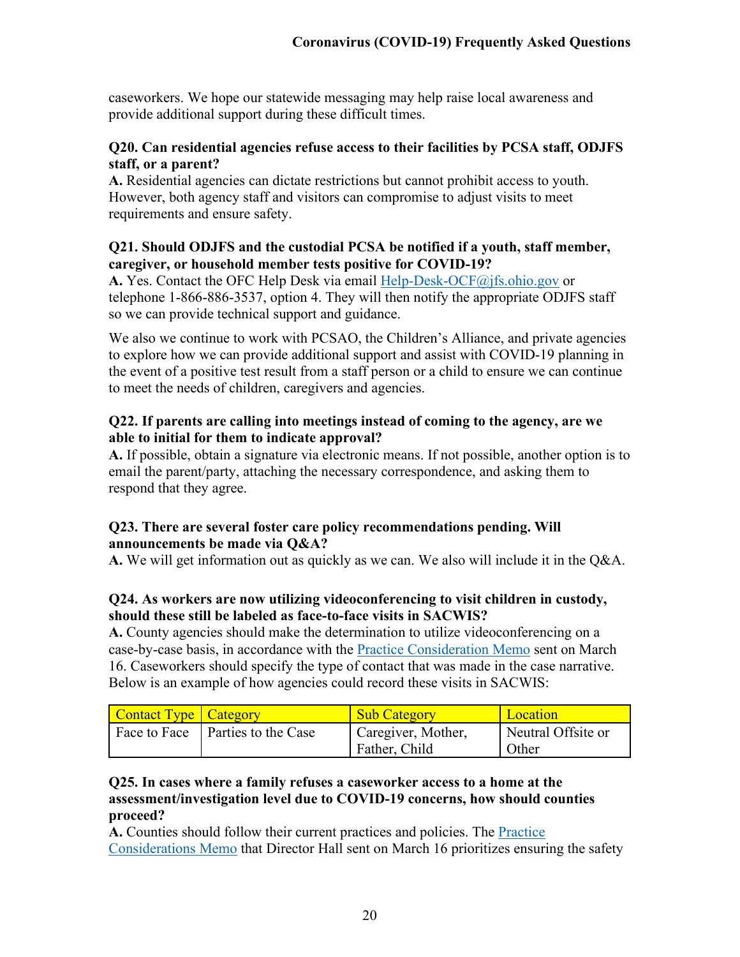caseworkers. We hope our statewide messaging may help raise local awareness and provide additional support during these difficult times.

#### **Q20. Can residential agencies refuse access to their facilities by PCSA staff, ODJFS staff, or a parent?**

**A.** Residential agencies can dictate restrictions but cannot prohibit access to youth. However, both agency staff and visitors can compromise to adjust visits to meet requirements and ensure safety.

#### **Q21. Should ODJFS and the custodial PCSA be notified if a youth, staff member, caregiver, or household member tests positive for COVID-19?**

**A.** Yes. Contact the OFC Help Desk via email [Help-Desk-OCF@jfs.ohio.gov](mailto:Help-Desk-OCF@jfs.ohio.gov) or telephone 1-866-886-3537, option 4. They will then notify the appropriate ODJFS staff so we can provide technical support and guidance.

We also we continue to work with PCSAO, the Children's Alliance, and private agencies to explore how we can provide additional support and assist with COVID-19 planning in the event of a positive test result from a staff person or a child to ensure we can continue to meet the needs of children, caregivers and agencies.

## **Q22. If parents are calling into meetings instead of coming to the agency, are we able to initial for them to indicate approval?**

**A.** If possible, obtain a signature via electronic means. If not possible, another option is to email the parent/party, attaching the necessary correspondence, and asking them to respond that they agree.

## **Q23. There are several foster care policy recommendations pending. Will announcements be made via Q&A?**

**A.** We will get information out as quickly as we can. We also will include it in the Q&A.

## **Q24. As workers are now utilizing videoconferencing to visit children in custody, should these still be labeled as face-to-face visits in SACWIS?**

**A.** County agencies should make the determination to utilize videoconferencing on a case-by-case basis, in accordance with the [Practice Consideration Memo](http://jfs.ohio.gov/ocomm/pdf/Practices-Consideration-Memo-2020-03-16.pdf) sent on March 16. Caseworkers should specify the type of contact that was made in the case narrative. Below is an example of how agencies could record these visits in SACWIS:

| Contact Type   Category |                                    | <b>Sub Category</b> | Location           |
|-------------------------|------------------------------------|---------------------|--------------------|
|                         | Face to Face   Parties to the Case | Caregiver, Mother,  | Neutral Offsite or |
|                         |                                    | Father, Child       | Other              |

#### **Q25. In cases where a family refuses a caseworker access to a home at the assessment/investigation level due to COVID-19 concerns, how should counties proceed?**

**A.** Counties should follow their current practices and policies. The [Practice](http://jfs.ohio.gov/ocomm/pdf/Practices-Consideration-Memo-2020-03-16.pdf)  [Considerations Memo](http://jfs.ohio.gov/ocomm/pdf/Practices-Consideration-Memo-2020-03-16.pdf) that Director Hall sent on March 16 prioritizes ensuring the safety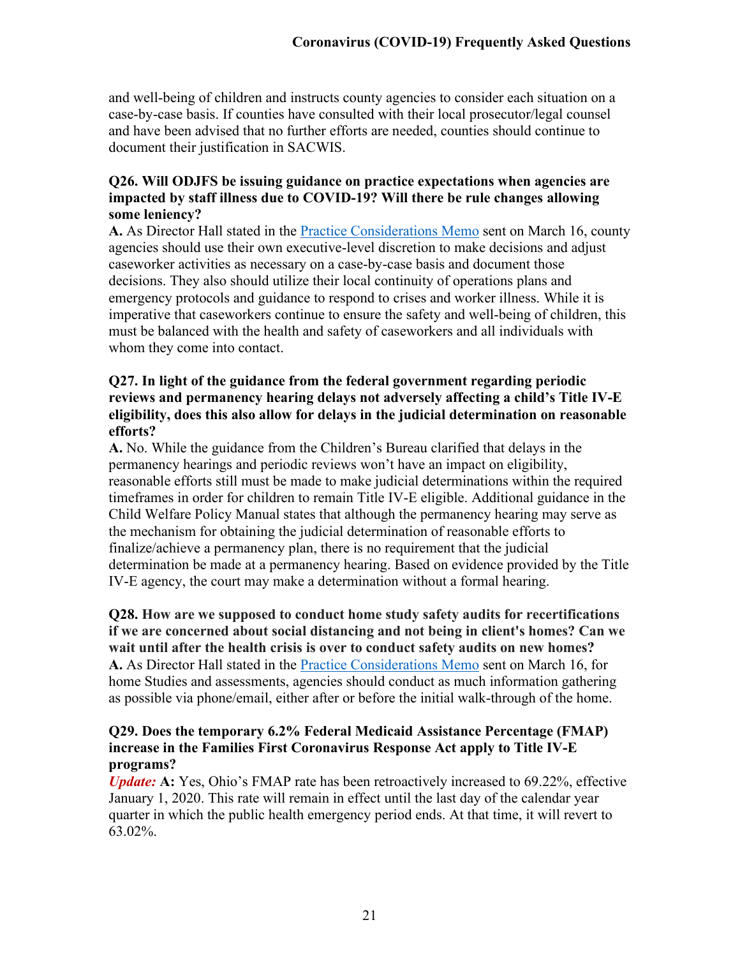and well-being of children and instructs county agencies to consider each situation on a case-by-case basis. If counties have consulted with their local prosecutor/legal counsel and have been advised that no further efforts are needed, counties should continue to document their justification in SACWIS.

#### **Q26. Will ODJFS be issuing guidance on practice expectations when agencies are impacted by staff illness due to COVID-19? Will there be rule changes allowing some leniency?**

**A.** As Director Hall stated in the [Practice Considerations Memo](http://jfs.ohio.gov/ocomm/pdf/Practices-Consideration-Memo-2020-03-16.pdf) sent on March 16, county agencies should use their own executive-level discretion to make decisions and adjust caseworker activities as necessary on a case-by-case basis and document those decisions. They also should utilize their local continuity of operations plans and emergency protocols and guidance to respond to crises and worker illness. While it is imperative that caseworkers continue to ensure the safety and well-being of children, this must be balanced with the health and safety of caseworkers and all individuals with whom they come into contact.

#### **Q27. In light of the guidance from the federal government regarding periodic reviews and permanency hearing delays not adversely affecting a child's Title IV-E eligibility, does this also allow for delays in the judicial determination on reasonable efforts?**

**A.** No. While the guidance from the Children's Bureau clarified that delays in the permanency hearings and periodic reviews won't have an impact on eligibility, reasonable efforts still must be made to make judicial determinations within the required timeframes in order for children to remain Title IV-E eligible. Additional guidance in the Child Welfare Policy Manual states that although the permanency hearing may serve as the mechanism for obtaining the judicial determination of reasonable efforts to finalize/achieve a permanency plan, there is no requirement that the judicial determination be made at a permanency hearing. Based on evidence provided by the Title IV-E agency, the court may make a determination without a formal hearing.

#### **Q28. How are we supposed to conduct home study safety audits for recertifications if we are concerned about social distancing and not being in client's homes? Can we wait until after the health crisis is over to conduct safety audits on new homes?**

**A.** As Director Hall stated in the [Practice Considerations Memo](http://jfs.ohio.gov/ocomm/pdf/Practices-Consideration-Memo-2020-03-16.pdf) sent on March 16, for home Studies and assessments, agencies should conduct as much information gathering as possible via phone/email, either after or before the initial walk-through of the home.

#### **Q29. Does the temporary 6.2% Federal Medicaid Assistance Percentage (FMAP) increase in the Families First Coronavirus Response Act apply to Title IV-E programs?**

*Update:* **A:** Yes, Ohio's FMAP rate has been retroactively increased to 69.22%, effective January 1, 2020. This rate will remain in effect until the last day of the calendar year quarter in which the public health emergency period ends. At that time, it will revert to 63.02%.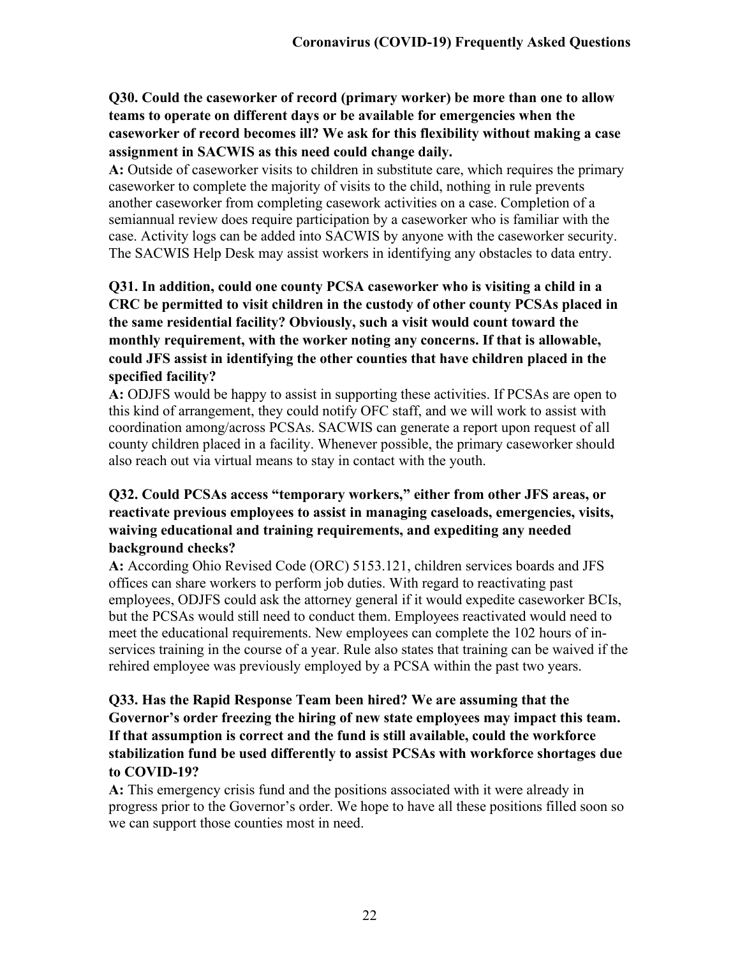# **Q30. Could the caseworker of record (primary worker) be more than one to allow teams to operate on different days or be available for emergencies when the caseworker of record becomes ill? We ask for this flexibility without making a case assignment in SACWIS as this need could change daily.**

**A:** Outside of caseworker visits to children in substitute care, which requires the primary caseworker to complete the majority of visits to the child, nothing in rule prevents another caseworker from completing casework activities on a case. Completion of a semiannual review does require participation by a caseworker who is familiar with the case. Activity logs can be added into SACWIS by anyone with the caseworker security. The SACWIS Help Desk may assist workers in identifying any obstacles to data entry.

# **Q31. In addition, could one county PCSA caseworker who is visiting a child in a CRC be permitted to visit children in the custody of other county PCSAs placed in the same residential facility? Obviously, such a visit would count toward the monthly requirement, with the worker noting any concerns. If that is allowable, could JFS assist in identifying the other counties that have children placed in the specified facility?**

**A:** ODJFS would be happy to assist in supporting these activities. If PCSAs are open to this kind of arrangement, they could notify OFC staff, and we will work to assist with coordination among/across PCSAs. SACWIS can generate a report upon request of all county children placed in a facility. Whenever possible, the primary caseworker should also reach out via virtual means to stay in contact with the youth.

# **Q32. Could PCSAs access "temporary workers," either from other JFS areas, or reactivate previous employees to assist in managing caseloads, emergencies, visits, waiving educational and training requirements, and expediting any needed background checks?**

**A:** According Ohio Revised Code (ORC) 5153.121, children services boards and JFS offices can share workers to perform job duties. With regard to reactivating past employees, ODJFS could ask the attorney general if it would expedite caseworker BCIs, but the PCSAs would still need to conduct them. Employees reactivated would need to meet the educational requirements. New employees can complete the 102 hours of inservices training in the course of a year. Rule also states that training can be waived if the rehired employee was previously employed by a PCSA within the past two years.

# **Q33. Has the Rapid Response Team been hired? We are assuming that the Governor's order freezing the hiring of new state employees may impact this team. If that assumption is correct and the fund is still available, could the workforce stabilization fund be used differently to assist PCSAs with workforce shortages due to COVID-19?**

**A:** This emergency crisis fund and the positions associated with it were already in progress prior to the Governor's order. We hope to have all these positions filled soon so we can support those counties most in need.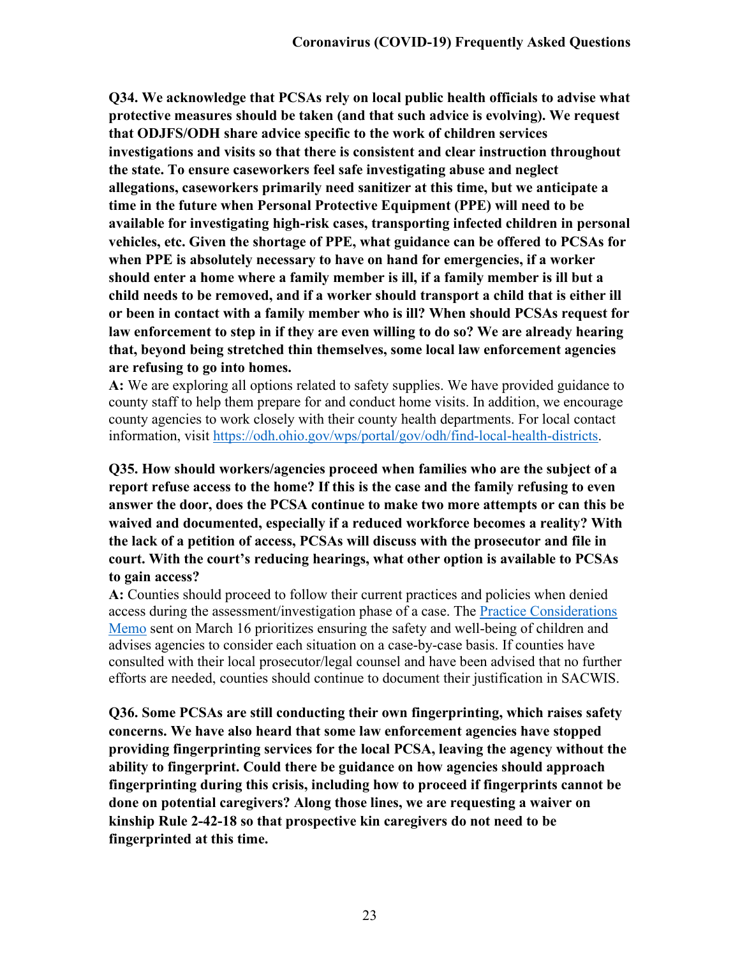**Q34. We acknowledge that PCSAs rely on local public health officials to advise what protective measures should be taken (and that such advice is evolving). We request that ODJFS/ODH share advice specific to the work of children services investigations and visits so that there is consistent and clear instruction throughout the state. To ensure caseworkers feel safe investigating abuse and neglect allegations, caseworkers primarily need sanitizer at this time, but we anticipate a time in the future when Personal Protective Equipment (PPE) will need to be available for investigating high-risk cases, transporting infected children in personal vehicles, etc. Given the shortage of PPE, what guidance can be offered to PCSAs for when PPE is absolutely necessary to have on hand for emergencies, if a worker should enter a home where a family member is ill, if a family member is ill but a child needs to be removed, and if a worker should transport a child that is either ill or been in contact with a family member who is ill? When should PCSAs request for law enforcement to step in if they are even willing to do so? We are already hearing that, beyond being stretched thin themselves, some local law enforcement agencies are refusing to go into homes.**

**A:** We are exploring all options related to safety supplies. We have provided guidance to county staff to help them prepare for and conduct home visits. In addition, we encourage county agencies to work closely with their county health departments. For local contact information, visit [https://odh.ohio.gov/wps/portal/gov/odh/find-local-health-districts.](https://odh.ohio.gov/wps/portal/gov/odh/find-local-health-districts)

**Q35. How should workers/agencies proceed when families who are the subject of a report refuse access to the home? If this is the case and the family refusing to even answer the door, does the PCSA continue to make two more attempts or can this be waived and documented, especially if a reduced workforce becomes a reality? With the lack of a petition of access, PCSAs will discuss with the prosecutor and file in court. With the court's reducing hearings, what other option is available to PCSAs to gain access?**

**A:** Counties should proceed to follow their current practices and policies when denied access during the assessment/investigation phase of a case. The [Practice Considerations](http://jfs.ohio.gov/ocomm/pdf/Practices-Consideration-Memo-2020-03-16.pdf)  [Memo](http://jfs.ohio.gov/ocomm/pdf/Practices-Consideration-Memo-2020-03-16.pdf) sent on March 16 prioritizes ensuring the safety and well-being of children and advises agencies to consider each situation on a case-by-case basis. If counties have consulted with their local prosecutor/legal counsel and have been advised that no further efforts are needed, counties should continue to document their justification in SACWIS.

**Q36. Some PCSAs are still conducting their own fingerprinting, which raises safety concerns. We have also heard that some law enforcement agencies have stopped providing fingerprinting services for the local PCSA, leaving the agency without the ability to fingerprint. Could there be guidance on how agencies should approach fingerprinting during this crisis, including how to proceed if fingerprints cannot be done on potential caregivers? Along those lines, we are requesting a waiver on kinship Rule 2-42-18 so that prospective kin caregivers do not need to be fingerprinted at this time.**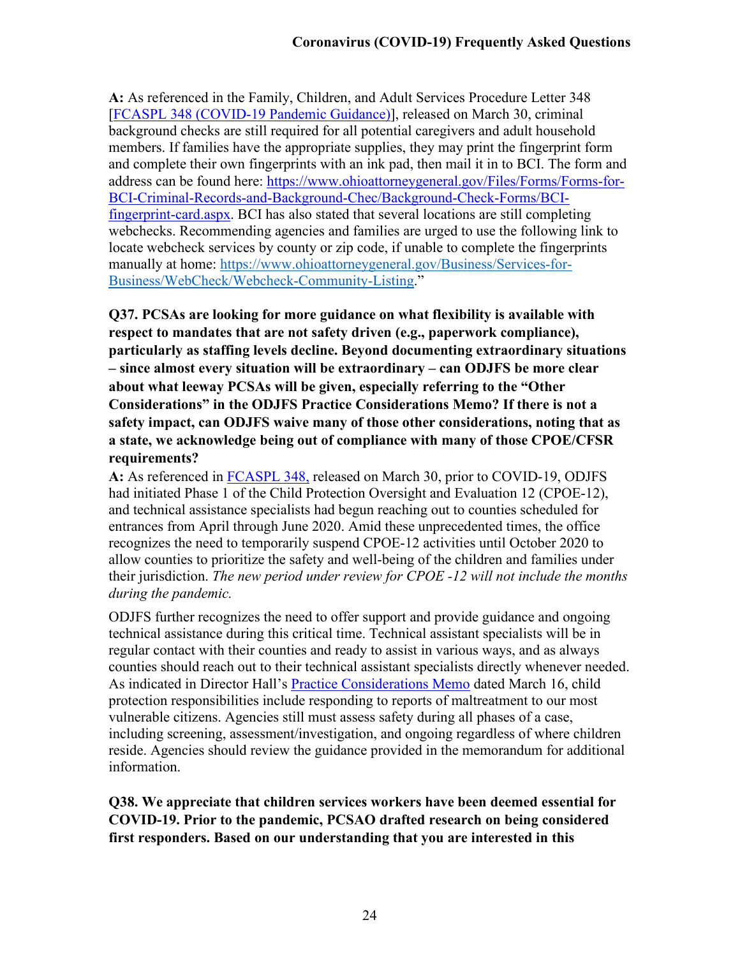**A:** As referenced in the Family, Children, and Adult Services Procedure Letter 348 [\[FCASPL 348 \(COVID-19 Pandemic Guidance\)\]](http://emanuals.jfs.ohio.gov/FamChild/FCASM/FCASPL/FCASPL-348.stm), released on March 30, criminal background checks are still required for all potential caregivers and adult household members. If families have the appropriate supplies, they may print the fingerprint form and complete their own fingerprints with an ink pad, then mail it in to BCI. The form and address can be found here: [https://www.ohioattorneygeneral.gov/Files/Forms/Forms-for-](https://www.ohioattorneygeneral.gov/Files/Forms/Forms-for-BCI-Criminal-Records-and-Background-Chec/Background-Check-Forms/BCI-fingerprint-card.aspx)[BCI-Criminal-Records-and-Background-Chec/Background-Check-Forms/BCI](https://www.ohioattorneygeneral.gov/Files/Forms/Forms-for-BCI-Criminal-Records-and-Background-Chec/Background-Check-Forms/BCI-fingerprint-card.aspx)[fingerprint-card.aspx.](https://www.ohioattorneygeneral.gov/Files/Forms/Forms-for-BCI-Criminal-Records-and-Background-Chec/Background-Check-Forms/BCI-fingerprint-card.aspx) BCI has also stated that several locations are still completing webchecks. Recommending agencies and families are urged to use the following link to locate webcheck services by county or zip code, if unable to complete the fingerprints manually at home: [https://www.ohioattorneygeneral.gov/Business/Services-for-](https://www.ohioattorneygeneral.gov/Business/Services-for-Business/WebCheck/Webcheck-Community-Listing)[Business/WebCheck/Webcheck-Community-Listing.](https://www.ohioattorneygeneral.gov/Business/Services-for-Business/WebCheck/Webcheck-Community-Listing)"

**Q37. PCSAs are looking for more guidance on what flexibility is available with respect to mandates that are not safety driven (e.g., paperwork compliance), particularly as staffing levels decline. Beyond documenting extraordinary situations – since almost every situation will be extraordinary – can ODJFS be more clear about what leeway PCSAs will be given, especially referring to the "Other Considerations" in the ODJFS Practice Considerations Memo? If there is not a safety impact, can ODJFS waive many of those other considerations, noting that as a state, we acknowledge being out of compliance with many of those CPOE/CFSR requirements?**

**A:** As referenced in [FCASPL 348,](http://emanuals.jfs.ohio.gov/FamChild/FCASM/FCASPL/FCASPL-348.stm) released on March 30, prior to COVID-19, ODJFS had initiated Phase 1 of the Child Protection Oversight and Evaluation 12 (CPOE-12), and technical assistance specialists had begun reaching out to counties scheduled for entrances from April through June 2020. Amid these unprecedented times, the office recognizes the need to temporarily suspend CPOE-12 activities until October 2020 to allow counties to prioritize the safety and well-being of the children and families under their jurisdiction. *The new period under review for CPOE -12 will not include the months during the pandemic.*

ODJFS further recognizes the need to offer support and provide guidance and ongoing technical assistance during this critical time. Technical assistant specialists will be in regular contact with their counties and ready to assist in various ways, and as always counties should reach out to their technical assistant specialists directly whenever needed. As indicated in Director Hall's [Practice](http://jfs.ohio.gov/ocomm/pdf/Practices-Consideration-Memo-2020-03-16.pdf) Considerations Memo dated March 16, child protection responsibilities include responding to reports of maltreatment to our most vulnerable citizens. Agencies still must assess safety during all phases of a case, including screening, assessment/investigation, and ongoing regardless of where children reside. Agencies should review the guidance provided in the memorandum for additional information.

**Q38. We appreciate that children services workers have been deemed essential for COVID-19. Prior to the pandemic, PCSAO drafted research on being considered first responders. Based on our understanding that you are interested in this**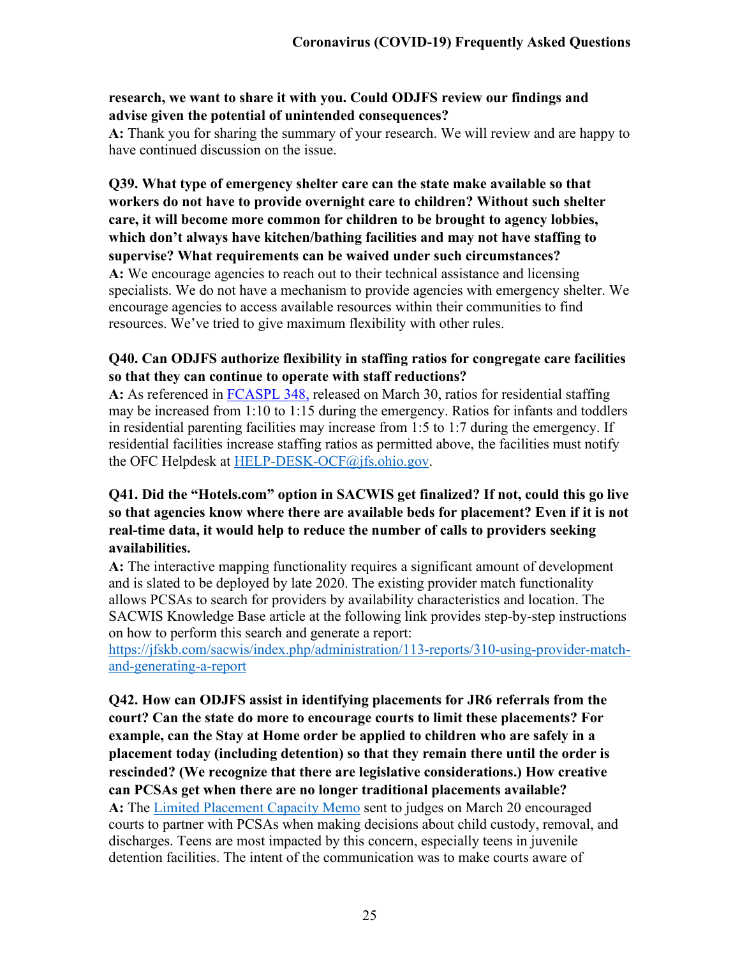#### **research, we want to share it with you. Could ODJFS review our findings and advise given the potential of unintended consequences?**

**A:** Thank you for sharing the summary of your research. We will review and are happy to have continued discussion on the issue.

**Q39. What type of emergency shelter care can the state make available so that workers do not have to provide overnight care to children? Without such shelter care, it will become more common for children to be brought to agency lobbies, which don't always have kitchen/bathing facilities and may not have staffing to supervise? What requirements can be waived under such circumstances? A:** We encourage agencies to reach out to their technical assistance and licensing specialists. We do not have a mechanism to provide agencies with emergency shelter. We encourage agencies to access available resources within their communities to find resources. We've tried to give maximum flexibility with other rules.

## **Q40. Can ODJFS authorize flexibility in staffing ratios for congregate care facilities so that they can continue to operate with staff reductions?**

**A:** As referenced in [FCASPL 348,](http://emanuals.jfs.ohio.gov/FamChild/FCASM/FCASPL/FCASPL-348.stm) released on March 30, ratios for residential staffing may be increased from 1:10 to 1:15 during the emergency. Ratios for infants and toddlers in residential parenting facilities may increase from 1:5 to 1:7 during the emergency. If residential facilities increase staffing ratios as permitted above, the facilities must notify the OFC Helpdesk at [HELP-DESK-OCF@jfs.ohio.gov.](mailto:HELP-DESK-OCF@jfs.ohio.gov)

## **Q41. Did the "Hotels.com" option in SACWIS get finalized? If not, could this go live so that agencies know where there are available beds for placement? Even if it is not real-time data, it would help to reduce the number of calls to providers seeking availabilities.**

**A:** The interactive mapping functionality requires a significant amount of development and is slated to be deployed by late 2020. The existing provider match functionality allows PCSAs to search for providers by availability characteristics and location. The SACWIS Knowledge Base article at the following link provides step-by-step instructions on how to perform this search and generate a report:

[https://jfskb.com/sacwis/index.php/administration/113-reports/310-using-provider-match](https://jfskb.com/sacwis/index.php/administration/113-reports/310-using-provider-match-and-generating-a-report)[and-generating-a-report](https://jfskb.com/sacwis/index.php/administration/113-reports/310-using-provider-match-and-generating-a-report) 

**Q42. How can ODJFS assist in identifying placements for JR6 referrals from the court? Can the state do more to encourage courts to limit these placements? For example, can the Stay at Home order be applied to children who are safely in a placement today (including detention) so that they remain there until the order is rescinded? (We recognize that there are legislative considerations.) How creative can PCSAs get when there are no longer traditional placements available? A:** The [Limited Placement Capacity Memo](http://jfs.ohio.gov/ocomm/pdf/Limited-Placement-Capacity.pdf) sent to judges on March 20 encouraged courts to partner with PCSAs when making decisions about child custody, removal, and discharges. Teens are most impacted by this concern, especially teens in juvenile detention facilities. The intent of the communication was to make courts aware of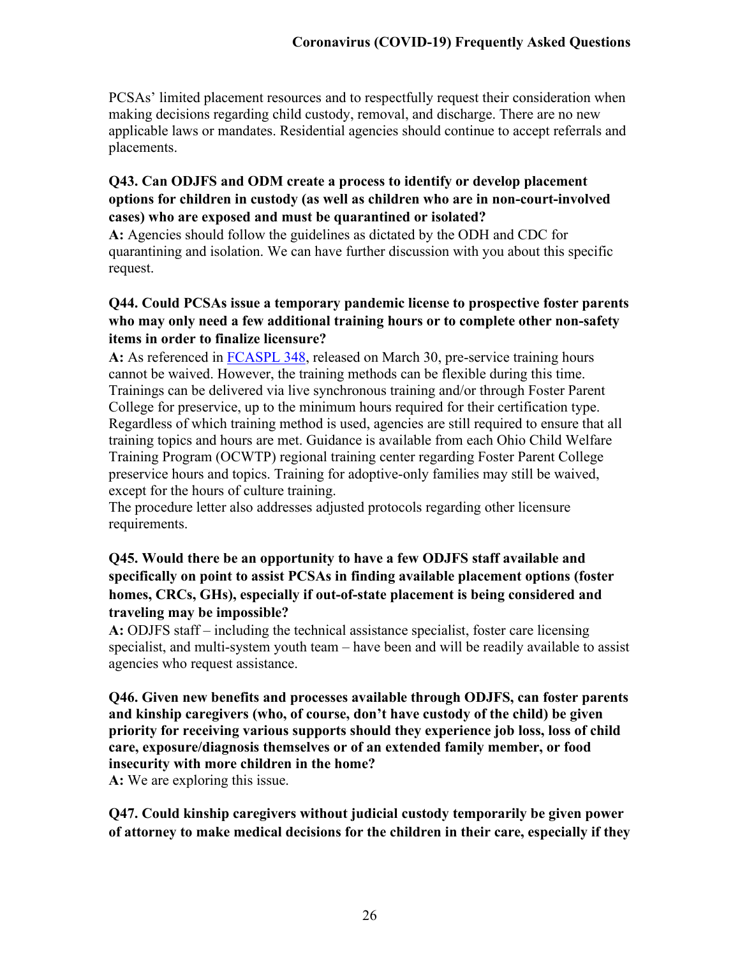PCSAs' limited placement resources and to respectfully request their consideration when making decisions regarding child custody, removal, and discharge. There are no new applicable laws or mandates. Residential agencies should continue to accept referrals and placements.

## **Q43. Can ODJFS and ODM create a process to identify or develop placement options for children in custody (as well as children who are in non-court-involved cases) who are exposed and must be quarantined or isolated?**

**A:** Agencies should follow the guidelines as dictated by the ODH and CDC for quarantining and isolation. We can have further discussion with you about this specific request.

# **Q44. Could PCSAs issue a temporary pandemic license to prospective foster parents who may only need a few additional training hours or to complete other non-safety items in order to finalize licensure?**

**A:** As referenced in [FCASPL 348,](http://emanuals.jfs.ohio.gov/FamChild/FCASM/FCASPL/FCASPL-348.stm) released on March 30, pre-service training hours cannot be waived. However, the training methods can be flexible during this time. Trainings can be delivered via live synchronous training and/or through Foster Parent College for preservice, up to the minimum hours required for their certification type. Regardless of which training method is used, agencies are still required to ensure that all training topics and hours are met. Guidance is available from each Ohio Child Welfare Training Program (OCWTP) regional training center regarding Foster Parent College preservice hours and topics. Training for adoptive-only families may still be waived, except for the hours of culture training.

The procedure letter also addresses adjusted protocols regarding other licensure requirements.

# **Q45. Would there be an opportunity to have a few ODJFS staff available and specifically on point to assist PCSAs in finding available placement options (foster homes, CRCs, GHs), especially if out-of-state placement is being considered and traveling may be impossible?**

**A:** ODJFS staff – including the technical assistance specialist, foster care licensing specialist, and multi-system youth team – have been and will be readily available to assist agencies who request assistance.

**Q46. Given new benefits and processes available through ODJFS, can foster parents and kinship caregivers (who, of course, don't have custody of the child) be given priority for receiving various supports should they experience job loss, loss of child care, exposure/diagnosis themselves or of an extended family member, or food insecurity with more children in the home?** 

**A:** We are exploring this issue.

**Q47. Could kinship caregivers without judicial custody temporarily be given power of attorney to make medical decisions for the children in their care, especially if they**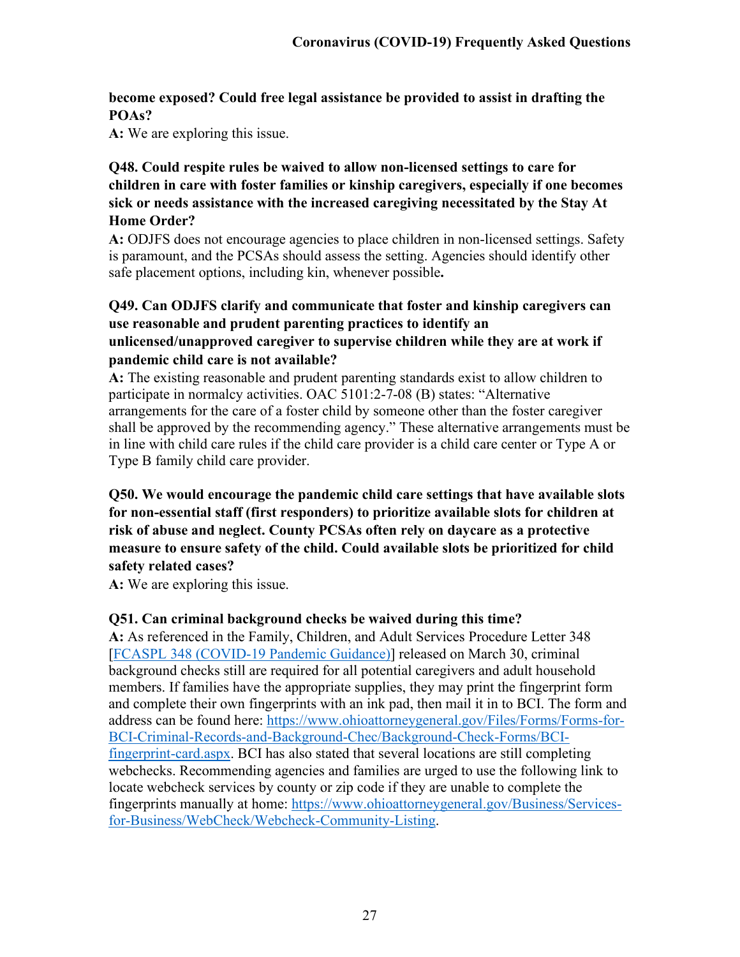# **become exposed? Could free legal assistance be provided to assist in drafting the POAs?**

**A:** We are exploring this issue.

# **Q48. Could respite rules be waived to allow non-licensed settings to care for children in care with foster families or kinship caregivers, especially if one becomes sick or needs assistance with the increased caregiving necessitated by the Stay At Home Order?**

**A:** ODJFS does not encourage agencies to place children in non-licensed settings. Safety is paramount, and the PCSAs should assess the setting. Agencies should identify other safe placement options, including kin, whenever possible**.**

# **Q49. Can ODJFS clarify and communicate that foster and kinship caregivers can use reasonable and prudent parenting practices to identify an unlicensed/unapproved caregiver to supervise children while they are at work if pandemic child care is not available?**

**A:** The existing reasonable and prudent parenting standards exist to allow children to participate in normalcy activities. OAC 5101:2-7-08 (B) states: "Alternative arrangements for the care of a foster child by someone other than the foster caregiver shall be approved by the recommending agency." These alternative arrangements must be in line with child care rules if the child care provider is a child care center or Type A or Type B family child care provider.

# **Q50. We would encourage the pandemic child care settings that have available slots for non-essential staff (first responders) to prioritize available slots for children at risk of abuse and neglect. County PCSAs often rely on daycare as a protective measure to ensure safety of the child. Could available slots be prioritized for child safety related cases?**

**A:** We are exploring this issue.

# **Q51. Can criminal background checks be waived during this time?**

**A:** As referenced in the Family, Children, and Adult Services Procedure Letter 348 [\[FCASPL 348 \(COVID-19 Pandemic Guidance\)\]](http://emanuals.jfs.ohio.gov/FamChild/FCASM/FCASPL/FCASPL-348.stm) released on March 30, criminal background checks still are required for all potential caregivers and adult household members. If families have the appropriate supplies, they may print the fingerprint form and complete their own fingerprints with an ink pad, then mail it in to BCI. The form and address can be found here: [https://www.ohioattorneygeneral.gov/Files/Forms/Forms-for-](https://www.ohioattorneygeneral.gov/Files/Forms/Forms-for-BCI-Criminal-Records-and-Background-Chec/Background-Check-Forms/BCI-fingerprint-card.aspx)[BCI-Criminal-Records-and-Background-Chec/Background-Check-Forms/BCI](https://www.ohioattorneygeneral.gov/Files/Forms/Forms-for-BCI-Criminal-Records-and-Background-Chec/Background-Check-Forms/BCI-fingerprint-card.aspx)[fingerprint-card.aspx.](https://www.ohioattorneygeneral.gov/Files/Forms/Forms-for-BCI-Criminal-Records-and-Background-Chec/Background-Check-Forms/BCI-fingerprint-card.aspx) BCI has also stated that several locations are still completing webchecks. Recommending agencies and families are urged to use the following link to locate webcheck services by county or zip code if they are unable to complete the fingerprints manually at home: [https://www.ohioattorneygeneral.gov/Business/Services](https://www.ohioattorneygeneral.gov/Business/Services-for-Business/WebCheck/Webcheck-Community-Listing)[for-Business/WebCheck/Webcheck-Community-Listing.](https://www.ohioattorneygeneral.gov/Business/Services-for-Business/WebCheck/Webcheck-Community-Listing)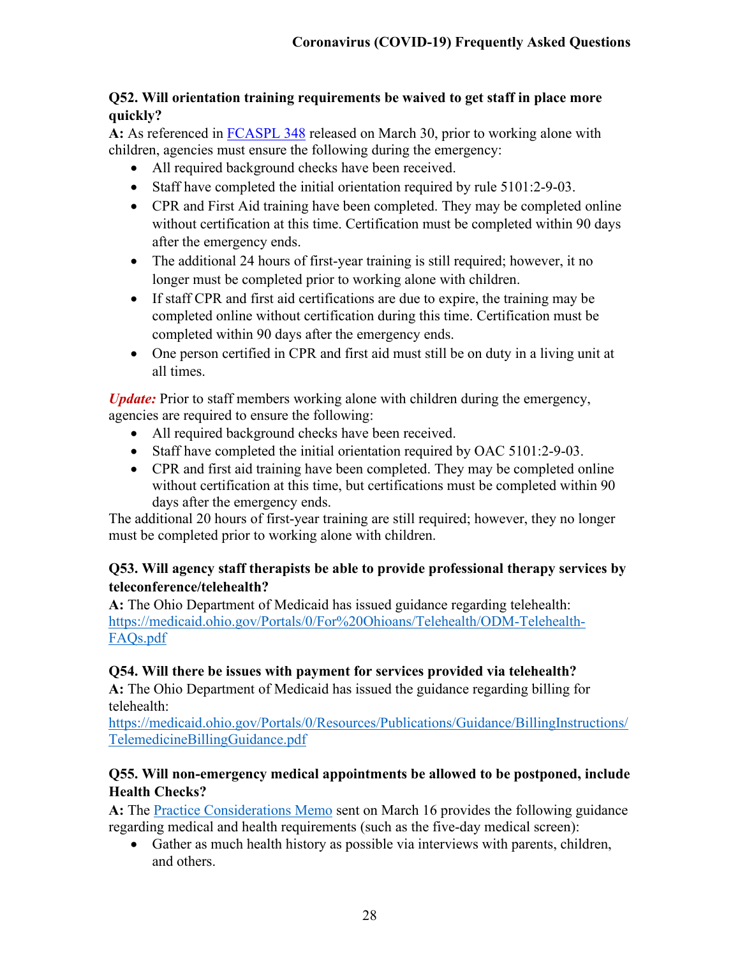# **Q52. Will orientation training requirements be waived to get staff in place more quickly?**

**A:** As referenced in [FCASPL 348](http://emanuals.jfs.ohio.gov/FamChild/FCASM/FCASPL/FCASPL-348.stm) released on March 30, prior to working alone with children, agencies must ensure the following during the emergency:

- All required background checks have been received.
- Staff have completed the initial orientation required by rule 5101:2-9-03.
- CPR and First Aid training have been completed. They may be completed online without certification at this time. Certification must be completed within 90 days after the emergency ends.
- The additional 24 hours of first-year training is still required; however, it no longer must be completed prior to working alone with children.
- If staff CPR and first aid certifications are due to expire, the training may be completed online without certification during this time. Certification must be completed within 90 days after the emergency ends.
- One person certified in CPR and first aid must still be on duty in a living unit at all times.

*Update:* Prior to staff members working alone with children during the emergency, agencies are required to ensure the following:

- All required background checks have been received.
- Staff have completed the initial orientation required by OAC 5101:2-9-03.
- CPR and first aid training have been completed. They may be completed online without certification at this time, but certifications must be completed within 90 days after the emergency ends.

The additional 20 hours of first-year training are still required; however, they no longer must be completed prior to working alone with children.

# **Q53. Will agency staff therapists be able to provide professional therapy services by teleconference/telehealth?**

**A:** The Ohio Department of Medicaid has issued guidance regarding telehealth: [https://medicaid.ohio.gov/Portals/0/For%20Ohioans/Telehealth/ODM-Telehealth-](https://medicaid.ohio.gov/Portals/0/For%20Ohioans/Telehealth/ODM-Telehealth-FAQs.pdf)[FAQs.pdf](https://medicaid.ohio.gov/Portals/0/For%20Ohioans/Telehealth/ODM-Telehealth-FAQs.pdf)

# **Q54. Will there be issues with payment for services provided via telehealth?**

**A:** The Ohio Department of Medicaid has issued the guidance regarding billing for telehealth:

[https://medicaid.ohio.gov/Portals/0/Resources/Publications/Guidance/BillingInstructions/](https://medicaid.ohio.gov/Portals/0/Resources/Publications/Guidance/BillingInstructions/TelemedicineBillingGuidance.pdf) [TelemedicineBillingGuidance.pdf](https://medicaid.ohio.gov/Portals/0/Resources/Publications/Guidance/BillingInstructions/TelemedicineBillingGuidance.pdf)

# **Q55. Will non-emergency medical appointments be allowed to be postponed, include Health Checks?**

**A:** The [Practice Considerations Memo](http://jfs.ohio.gov/ocomm/pdf/Practices-Consideration-Memo-2020-03-16.pdf) sent on March 16 provides the following guidance regarding medical and health requirements (such as the five-day medical screen):

• Gather as much health history as possible via interviews with parents, children, and others.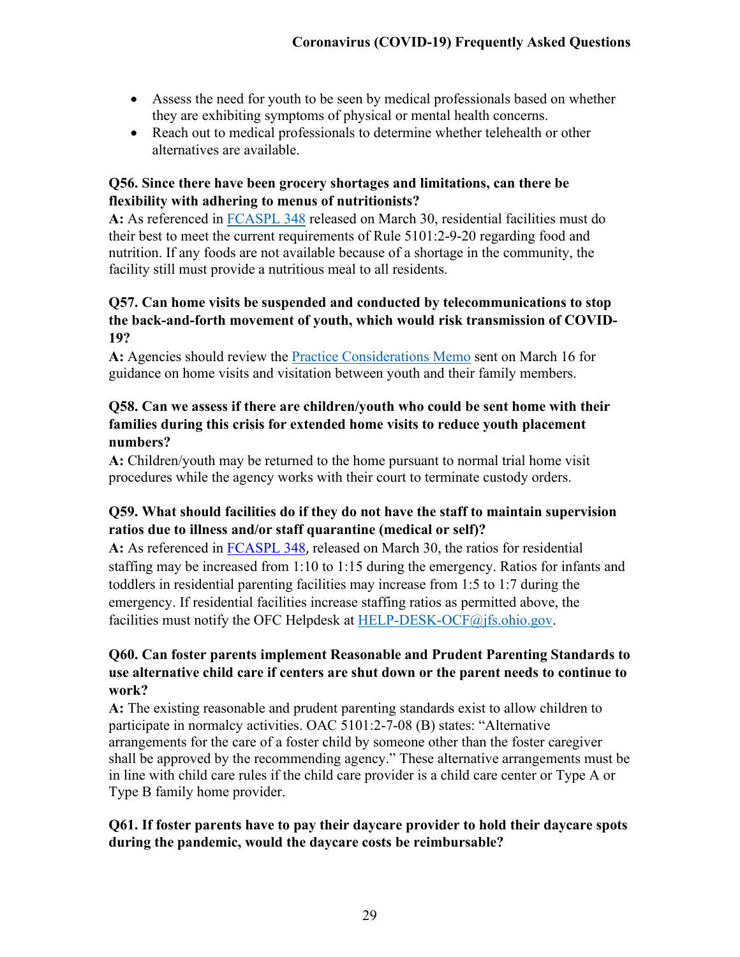- Assess the need for youth to be seen by medical professionals based on whether they are exhibiting symptoms of physical or mental health concerns.
- Reach out to medical professionals to determine whether telehealth or other alternatives are available.

## **Q56. Since there have been grocery shortages and limitations, can there be flexibility with adhering to menus of nutritionists?**

**A:** As referenced in [FCASPL 348](http://emanuals.jfs.ohio.gov/FamChild/FCASM/FCASPL/FCASPL-348.stm) released on March 30, residential facilities must do their best to meet the current requirements of Rule 5101:2-9-20 regarding food and nutrition. If any foods are not available because of a shortage in the community, the facility still must provide a nutritious meal to all residents.

# **Q57. Can home visits be suspended and conducted by telecommunications to stop the back-and-forth movement of youth, which would risk transmission of COVID-19?**

**A:** Agencies should review the [Practice Considerations Memo](http://jfs.ohio.gov/ocomm/pdf/Practices-Consideration-Memo-2020-03-16.pdf) sent on March 16 for guidance on home visits and visitation between youth and their family members.

# **Q58. Can we assess if there are children/youth who could be sent home with their families during this crisis for extended home visits to reduce youth placement numbers?**

**A:** Children/youth may be returned to the home pursuant to normal trial home visit procedures while the agency works with their court to terminate custody orders.

# **Q59. What should facilities do if they do not have the staff to maintain supervision ratios due to illness and/or staff quarantine (medical or self)?**

**A:** As referenced in [FCASPL 348](http://emanuals.jfs.ohio.gov/FamChild/FCASM/FCASPL/FCASPL-348.stm), released on March 30, the ratios for residential staffing may be increased from 1:10 to 1:15 during the emergency. Ratios for infants and toddlers in residential parenting facilities may increase from 1:5 to 1:7 during the emergency. If residential facilities increase staffing ratios as permitted above, the facilities must notify the OFC Helpdesk at [HELP-DESK-OCF@jfs.ohio.gov.](mailto:HELP-DESK-OCF@jfs.ohio.gov)

# **Q60. Can foster parents implement Reasonable and Prudent Parenting Standards to use alternative child care if centers are shut down or the parent needs to continue to work?**

**A:** The existing reasonable and prudent parenting standards exist to allow children to participate in normalcy activities. OAC 5101:2-7-08 (B) states: "Alternative arrangements for the care of a foster child by someone other than the foster caregiver shall be approved by the recommending agency." These alternative arrangements must be in line with child care rules if the child care provider is a child care center or Type A or Type B family home provider.

#### **Q61. If foster parents have to pay their daycare provider to hold their daycare spots during the pandemic, would the daycare costs be reimbursable?**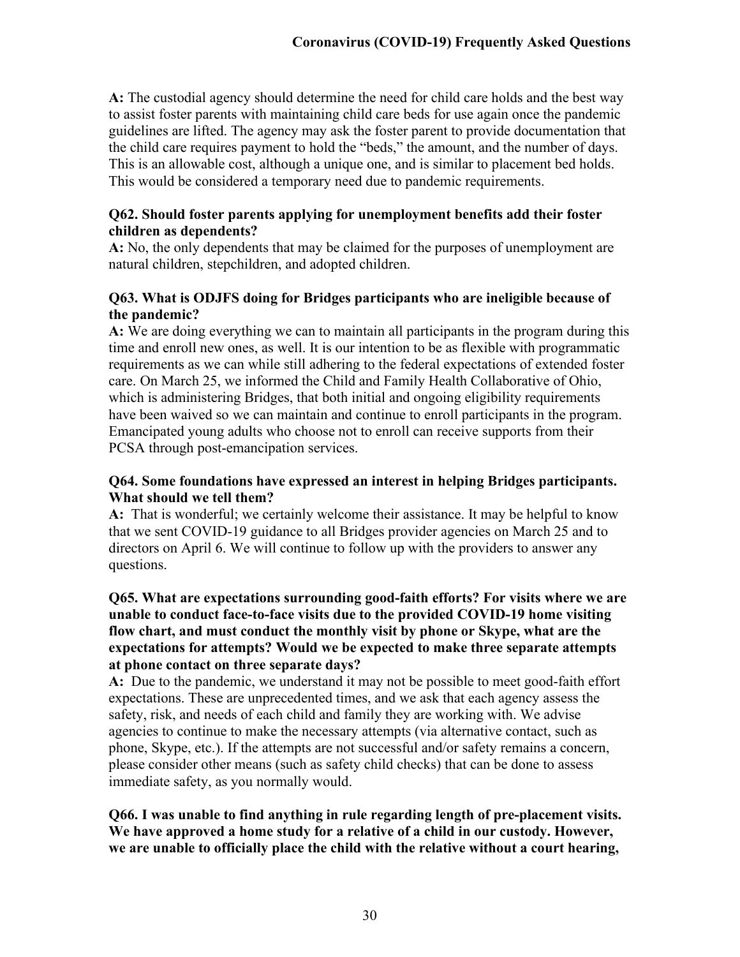**A:** The custodial agency should determine the need for child care holds and the best way to assist foster parents with maintaining child care beds for use again once the pandemic guidelines are lifted. The agency may ask the foster parent to provide documentation that the child care requires payment to hold the "beds," the amount, and the number of days. This is an allowable cost, although a unique one, and is similar to placement bed holds. This would be considered a temporary need due to pandemic requirements.

#### **Q62. Should foster parents applying for unemployment benefits add their foster children as dependents?**

**A:** No, the only dependents that may be claimed for the purposes of unemployment are natural children, stepchildren, and adopted children.

#### **Q63. What is ODJFS doing for Bridges participants who are ineligible because of the pandemic?**

**A:** We are doing everything we can to maintain all participants in the program during this time and enroll new ones, as well. It is our intention to be as flexible with programmatic requirements as we can while still adhering to the federal expectations of extended foster care. On March 25, we informed the Child and Family Health Collaborative of Ohio, which is administering Bridges, that both initial and ongoing eligibility requirements have been waived so we can maintain and continue to enroll participants in the program. Emancipated young adults who choose not to enroll can receive supports from their PCSA through post-emancipation services.

#### **Q64. Some foundations have expressed an interest in helping Bridges participants. What should we tell them?**

**A:** That is wonderful; we certainly welcome their assistance. It may be helpful to know that we sent COVID-19 guidance to all Bridges provider agencies on March 25 and to directors on April 6. We will continue to follow up with the providers to answer any questions.

#### **Q65. What are expectations surrounding good-faith efforts? For visits where we are unable to conduct face-to-face visits due to the provided COVID-19 home visiting flow chart, and must conduct the monthly visit by phone or Skype, what are the expectations for attempts? Would we be expected to make three separate attempts at phone contact on three separate days?**

**A:** Due to the pandemic, we understand it may not be possible to meet good-faith effort expectations. These are unprecedented times, and we ask that each agency assess the safety, risk, and needs of each child and family they are working with. We advise agencies to continue to make the necessary attempts (via alternative contact, such as phone, Skype, etc.). If the attempts are not successful and/or safety remains a concern, please consider other means (such as safety child checks) that can be done to assess immediate safety, as you normally would.

#### **Q66. I was unable to find anything in rule regarding length of pre-placement visits. We have approved a home study for a relative of a child in our custody. However, we are unable to officially place the child with the relative without a court hearing,**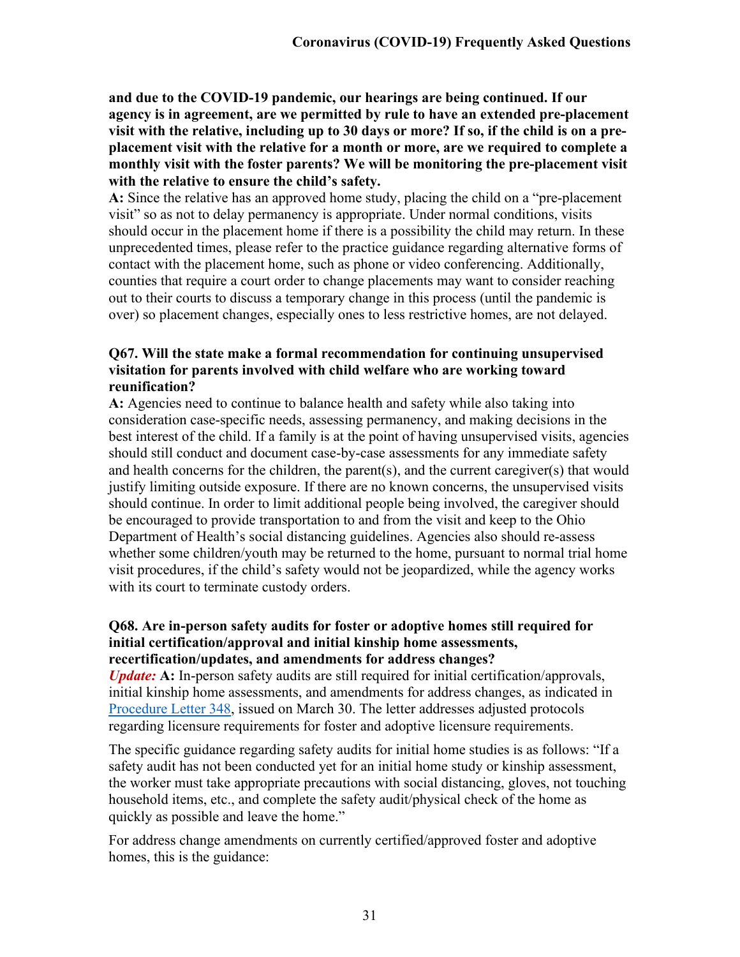**and due to the COVID-19 pandemic, our hearings are being continued. If our agency is in agreement, are we permitted by rule to have an extended pre-placement visit with the relative, including up to 30 days or more? If so, if the child is on a preplacement visit with the relative for a month or more, are we required to complete a monthly visit with the foster parents? We will be monitoring the pre-placement visit with the relative to ensure the child's safety.**

**A:** Since the relative has an approved home study, placing the child on a "pre-placement visit" so as not to delay permanency is appropriate. Under normal conditions, visits should occur in the placement home if there is a possibility the child may return. In these unprecedented times, please refer to the practice guidance regarding alternative forms of contact with the placement home, such as phone or video conferencing. Additionally, counties that require a court order to change placements may want to consider reaching out to their courts to discuss a temporary change in this process (until the pandemic is over) so placement changes, especially ones to less restrictive homes, are not delayed.

### **Q67. Will the state make a formal recommendation for continuing unsupervised visitation for parents involved with child welfare who are working toward reunification?**

**A:** Agencies need to continue to balance health and safety while also taking into consideration case-specific needs, assessing permanency, and making decisions in the best interest of the child. If a family is at the point of having unsupervised visits, agencies should still conduct and document case-by-case assessments for any immediate safety and health concerns for the children, the parent(s), and the current caregiver(s) that would justify limiting outside exposure. If there are no known concerns, the unsupervised visits should continue. In order to limit additional people being involved, the caregiver should be encouraged to provide transportation to and from the visit and keep to the Ohio Department of Health's social distancing guidelines. Agencies also should re-assess whether some children/youth may be returned to the home, pursuant to normal trial home visit procedures, if the child's safety would not be jeopardized, while the agency works with its court to terminate custody orders.

#### **Q68. Are in-person safety audits for foster or adoptive homes still required for initial certification/approval and initial kinship home assessments, recertification/updates, and amendments for address changes?**

*Update:* **A:** In-person safety audits are still required for initial certification/approvals, initial kinship home assessments, and amendments for address changes, as indicated in [Procedure Letter 348,](http://emanuals.jfs.ohio.gov/FamChild/FCASM/FCASPL/FCASPL-348.stm) issued on March 30. The letter addresses adjusted protocols regarding licensure requirements for foster and adoptive licensure requirements.

The specific guidance regarding safety audits for initial home studies is as follows: "If a safety audit has not been conducted yet for an initial home study or kinship assessment, the worker must take appropriate precautions with social distancing, gloves, not touching household items, etc., and complete the safety audit/physical check of the home as quickly as possible and leave the home."

For address change amendments on currently certified/approved foster and adoptive homes, this is the guidance: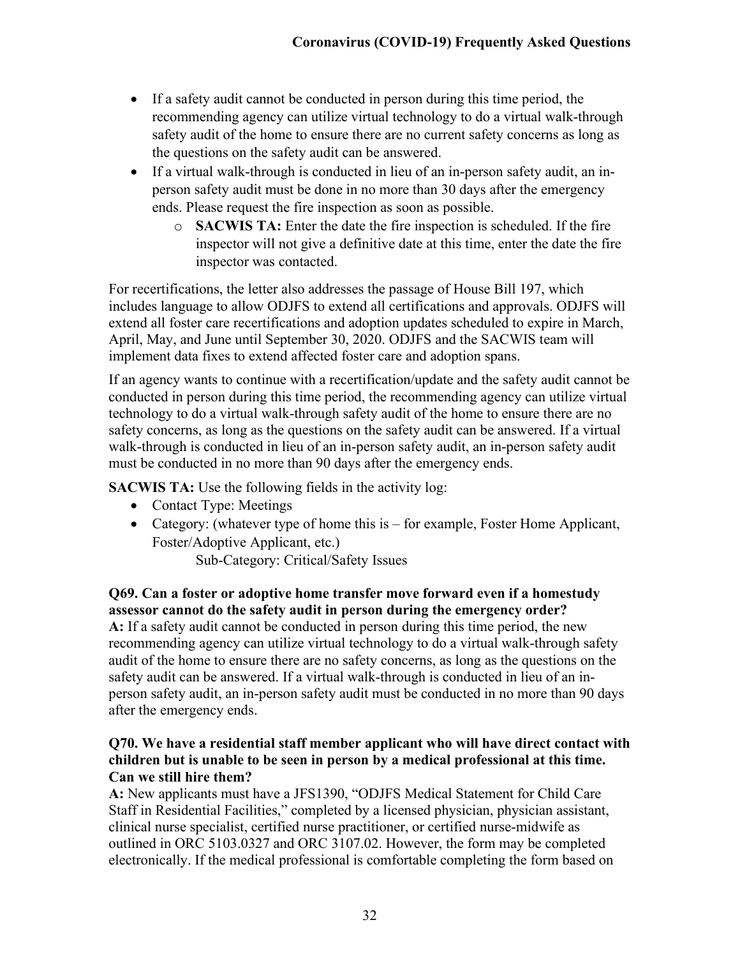- If a safety audit cannot be conducted in person during this time period, the recommending agency can utilize virtual technology to do a virtual walk-through safety audit of the home to ensure there are no current safety concerns as long as the questions on the safety audit can be answered.
- If a virtual walk-through is conducted in lieu of an in-person safety audit, an inperson safety audit must be done in no more than 30 days after the emergency ends. Please request the fire inspection as soon as possible.
	- o **SACWIS TA:** Enter the date the fire inspection is scheduled. If the fire inspector will not give a definitive date at this time, enter the date the fire inspector was contacted.

For recertifications, the letter also addresses the passage of House Bill 197, which includes language to allow ODJFS to extend all certifications and approvals. ODJFS will extend all foster care recertifications and adoption updates scheduled to expire in March, April, May, and June until September 30, 2020. ODJFS and the SACWIS team will implement data fixes to extend affected foster care and adoption spans.

If an agency wants to continue with a recertification/update and the safety audit cannot be conducted in person during this time period, the recommending agency can utilize virtual technology to do a virtual walk-through safety audit of the home to ensure there are no safety concerns, as long as the questions on the safety audit can be answered. If a virtual walk-through is conducted in lieu of an in-person safety audit, an in-person safety audit must be conducted in no more than 90 days after the emergency ends.

**SACWIS TA:** Use the following fields in the activity log:

- Contact Type: Meetings
- Category: (whatever type of home this is for example, Foster Home Applicant, Foster/Adoptive Applicant, etc.)

Sub-Category: Critical/Safety Issues

## **Q69. Can a foster or adoptive home transfer move forward even if a homestudy assessor cannot do the safety audit in person during the emergency order?**

**A:** If a safety audit cannot be conducted in person during this time period, the new recommending agency can utilize virtual technology to do a virtual walk-through safety audit of the home to ensure there are no safety concerns, as long as the questions on the safety audit can be answered. If a virtual walk-through is conducted in lieu of an inperson safety audit, an in-person safety audit must be conducted in no more than 90 days after the emergency ends.

#### **Q70. We have a residential staff member applicant who will have direct contact with children but is unable to be seen in person by a medical professional at this time. Can we still hire them?**

**A:** New applicants must have a JFS1390, "ODJFS Medical Statement for Child Care Staff in Residential Facilities," completed by a licensed physician, physician assistant, clinical nurse specialist, certified nurse practitioner, or certified nurse-midwife as outlined in ORC 5103.0327 and ORC 3107.02. However, the form may be completed electronically. If the medical professional is comfortable completing the form based on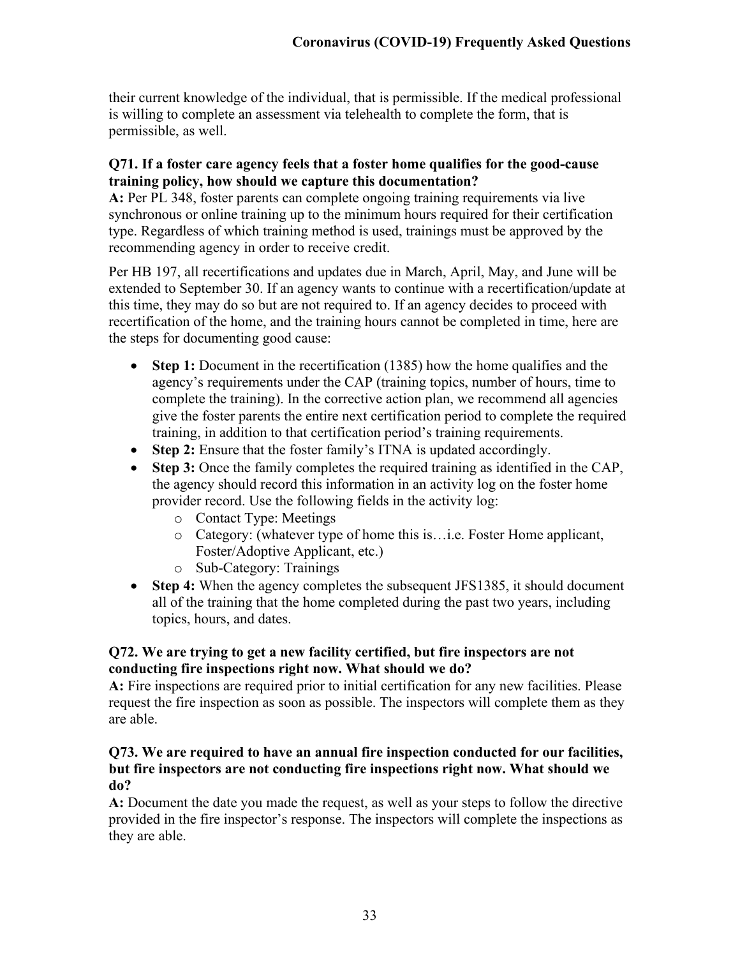their current knowledge of the individual, that is permissible. If the medical professional is willing to complete an assessment via telehealth to complete the form, that is permissible, as well.

## **Q71. If a foster care agency feels that a foster home qualifies for the good-cause training policy, how should we capture this documentation?**

**A:** Per PL 348, foster parents can complete ongoing training requirements via live synchronous or online training up to the minimum hours required for their certification type. Regardless of which training method is used, trainings must be approved by the recommending agency in order to receive credit.

Per HB 197, all recertifications and updates due in March, April, May, and June will be extended to September 30. If an agency wants to continue with a recertification/update at this time, they may do so but are not required to. If an agency decides to proceed with recertification of the home, and the training hours cannot be completed in time, here are the steps for documenting good cause:

- **Step 1:** Document in the recertification (1385) how the home qualifies and the agency's requirements under the CAP (training topics, number of hours, time to complete the training). In the corrective action plan, we recommend all agencies give the foster parents the entire next certification period to complete the required training, in addition to that certification period's training requirements.
- **Step 2:** Ensure that the foster family's ITNA is updated accordingly.
- **Step 3:** Once the family completes the required training as identified in the CAP, the agency should record this information in an activity log on the foster home provider record. Use the following fields in the activity log:
	- o Contact Type: Meetings
	- o Category: (whatever type of home this is…i.e. Foster Home applicant, Foster/Adoptive Applicant, etc.)
	- o Sub-Category: Trainings
- **Step 4:** When the agency completes the subsequent JFS1385, it should document all of the training that the home completed during the past two years, including topics, hours, and dates.

## **Q72. We are trying to get a new facility certified, but fire inspectors are not conducting fire inspections right now. What should we do?**

**A:** Fire inspections are required prior to initial certification for any new facilities. Please request the fire inspection as soon as possible. The inspectors will complete them as they are able.

#### **Q73. We are required to have an annual fire inspection conducted for our facilities, but fire inspectors are not conducting fire inspections right now. What should we do?**

**A:** Document the date you made the request, as well as your steps to follow the directive provided in the fire inspector's response. The inspectors will complete the inspections as they are able.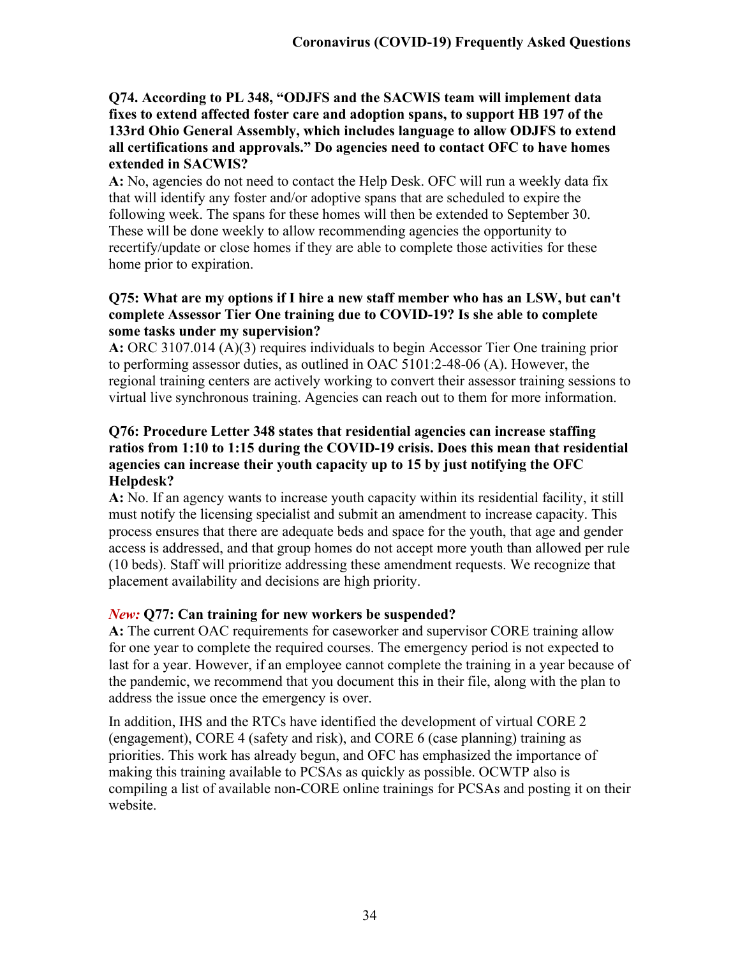**Q74. According to PL 348, "ODJFS and the SACWIS team will implement data fixes to extend affected foster care and adoption spans, to support HB 197 of the 133rd Ohio General Assembly, which includes language to allow ODJFS to extend all certifications and approvals." Do agencies need to contact OFC to have homes extended in SACWIS?**

**A:** No, agencies do not need to contact the Help Desk. OFC will run a weekly data fix that will identify any foster and/or adoptive spans that are scheduled to expire the following week. The spans for these homes will then be extended to September 30. These will be done weekly to allow recommending agencies the opportunity to recertify/update or close homes if they are able to complete those activities for these home prior to expiration.

#### **Q75: What are my options if I hire a new staff member who has an LSW, but can't complete Assessor Tier One training due to COVID-19? Is she able to complete some tasks under my supervision?**

**A:** ORC 3107.014 (A)(3) requires individuals to begin Accessor Tier One training prior to performing assessor duties, as outlined in OAC 5101:2-48-06 (A). However, the regional training centers are actively working to convert their assessor training sessions to virtual live synchronous training. Agencies can reach out to them for more information.

#### **Q76: Procedure Letter 348 states that residential agencies can increase staffing ratios from 1:10 to 1:15 during the COVID-19 crisis. Does this mean that residential agencies can increase their youth capacity up to 15 by just notifying the OFC Helpdesk?**

**A:** No. If an agency wants to increase youth capacity within its residential facility, it still must notify the licensing specialist and submit an amendment to increase capacity. This process ensures that there are adequate beds and space for the youth, that age and gender access is addressed, and that group homes do not accept more youth than allowed per rule (10 beds). Staff will prioritize addressing these amendment requests. We recognize that placement availability and decisions are high priority.

# *New:* **Q77: Can training for new workers be suspended?**

**A:** The current OAC requirements for caseworker and supervisor CORE training allow for one year to complete the required courses. The emergency period is not expected to last for a year. However, if an employee cannot complete the training in a year because of the pandemic, we recommend that you document this in their file, along with the plan to address the issue once the emergency is over.

In addition, IHS and the RTCs have identified the development of virtual CORE 2 (engagement), CORE 4 (safety and risk), and CORE 6 (case planning) training as priorities. This work has already begun, and OFC has emphasized the importance of making this training available to PCSAs as quickly as possible. OCWTP also is compiling a list of available non-CORE online trainings for PCSAs and posting it on their website.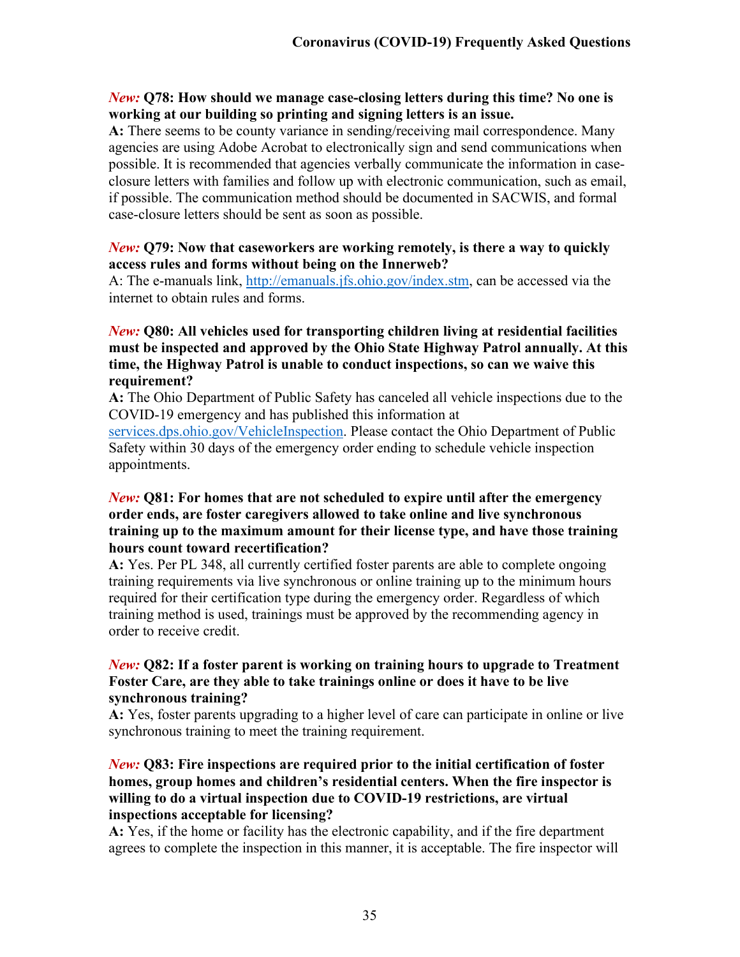#### *New:* **Q78: How should we manage case-closing letters during this time? No one is working at our building so printing and signing letters is an issue.**

**A:** There seems to be county variance in sending/receiving mail correspondence. Many agencies are using Adobe Acrobat to electronically sign and send communications when possible. It is recommended that agencies verbally communicate the information in caseclosure letters with families and follow up with electronic communication, such as email, if possible. The communication method should be documented in SACWIS, and formal case-closure letters should be sent as soon as possible.

#### *New:* **Q79: Now that caseworkers are working remotely, is there a way to quickly access rules and forms without being on the Innerweb?**

A: The e-manuals link, [http://emanuals.jfs.ohio.gov/index.stm,](http://emanuals.jfs.ohio.gov/index.stm) can be accessed via the internet to obtain rules and forms.

#### *New:* **Q80: All vehicles used for transporting children living at residential facilities must be inspected and approved by the Ohio State Highway Patrol annually. At this time, the Highway Patrol is unable to conduct inspections, so can we waive this requirement?**

**A:** The Ohio Department of Public Safety has canceled all vehicle inspections due to the COVID-19 emergency and has published this information at

[services.dps.ohio.gov/VehicleInspection.](https://services.dps.ohio.gov/VehicleInspection) Please contact the Ohio Department of Public Safety within 30 days of the emergency order ending to schedule vehicle inspection appointments.

#### *New:* **Q81: For homes that are not scheduled to expire until after the emergency order ends, are foster caregivers allowed to take online and live synchronous training up to the maximum amount for their license type, and have those training hours count toward recertification?**

**A:** Yes. Per PL 348, all currently certified foster parents are able to complete ongoing training requirements via live synchronous or online training up to the minimum hours required for their certification type during the emergency order. Regardless of which training method is used, trainings must be approved by the recommending agency in order to receive credit.

#### *New:* **Q82: If a foster parent is working on training hours to upgrade to Treatment Foster Care, are they able to take trainings online or does it have to be live synchronous training?**

**A:** Yes, foster parents upgrading to a higher level of care can participate in online or live synchronous training to meet the training requirement.

#### *New:* **Q83: Fire inspections are required prior to the initial certification of foster homes, group homes and children's residential centers. When the fire inspector is willing to do a virtual inspection due to COVID-19 restrictions, are virtual inspections acceptable for licensing?**

**A:** Yes, if the home or facility has the electronic capability, and if the fire department agrees to complete the inspection in this manner, it is acceptable. The fire inspector will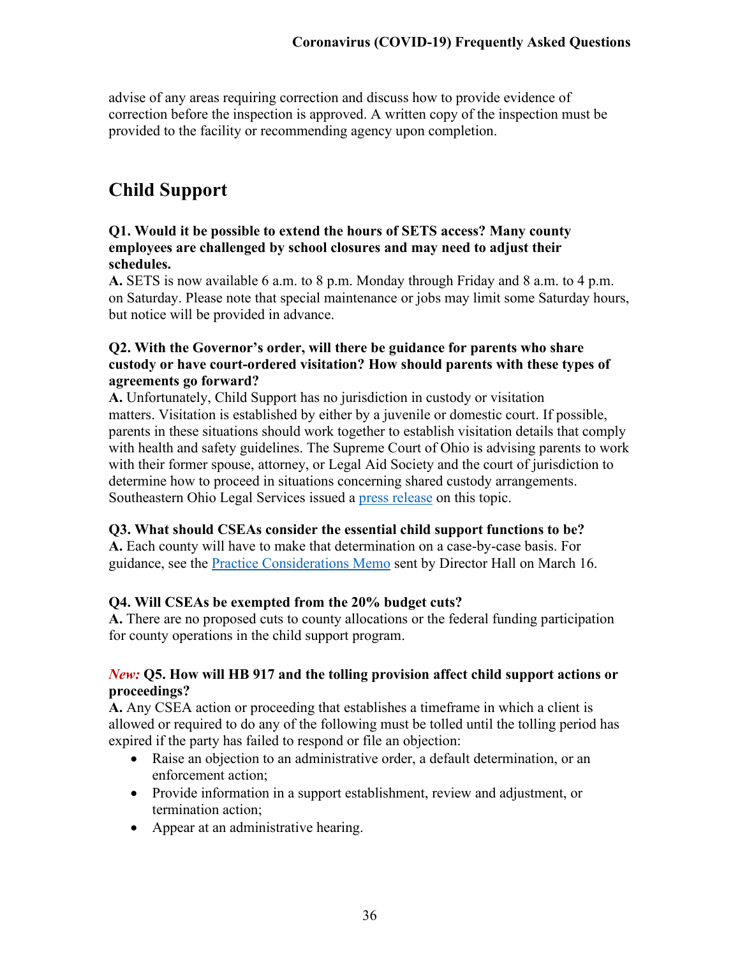advise of any areas requiring correction and discuss how to provide evidence of correction before the inspection is approved. A written copy of the inspection must be provided to the facility or recommending agency upon completion.

# <span id="page-35-0"></span>**Child Support**

#### **Q1. Would it be possible to extend the hours of SETS access? Many county employees are challenged by school closures and may need to adjust their schedules.**

**A.** SETS is now available 6 a.m. to 8 p.m. Monday through Friday and 8 a.m. to 4 p.m. on Saturday. Please note that special maintenance or jobs may limit some Saturday hours, but notice will be provided in advance.

### **Q2. With the Governor's order, will there be guidance for parents who share custody or have court-ordered visitation? How should parents with these types of agreements go forward?**

**A.** Unfortunately, Child Support has no jurisdiction in custody or visitation matters. Visitation is established by either by a juvenile or domestic court. If possible, parents in these situations should work together to establish visitation details that comply with health and safety guidelines. The Supreme Court of Ohio is advising parents to work with their former spouse, attorney, or Legal Aid Society and the court of jurisdiction to determine how to proceed in situations concerning shared custody arrangements. Southeastern Ohio Legal Services issued a [press release](http://cms.revize.com/revize/athenscounty/COC/SEOLS%20Visitation%20Guidelines%20Quarantine.png) on this topic.

#### **Q3. What should CSEAs consider the essential child support functions to be?**

**A.** Each county will have to make that determination on a case-by-case basis. For guidance, see the [Practice Considerations Memo](http://jfs.ohio.gov/ocomm/pdf/Children-Services-Practices-Consideration-Memo-2020-03-16.pdf) sent by Director Hall on March 16.

# **Q4. Will CSEAs be exempted from the 20% budget cuts?**

**A.** There are no proposed cuts to county allocations or the federal funding participation for county operations in the child support program.

#### *New:* **Q5. How will HB 917 and the tolling provision affect child support actions or proceedings?**

**A.** Any CSEA action or proceeding that establishes a timeframe in which a client is allowed or required to do any of the following must be tolled until the tolling period has expired if the party has failed to respond or file an objection:

- Raise an objection to an administrative order, a default determination, or an enforcement action;
- Provide information in a support establishment, review and adjustment, or termination action;
- Appear at an administrative hearing.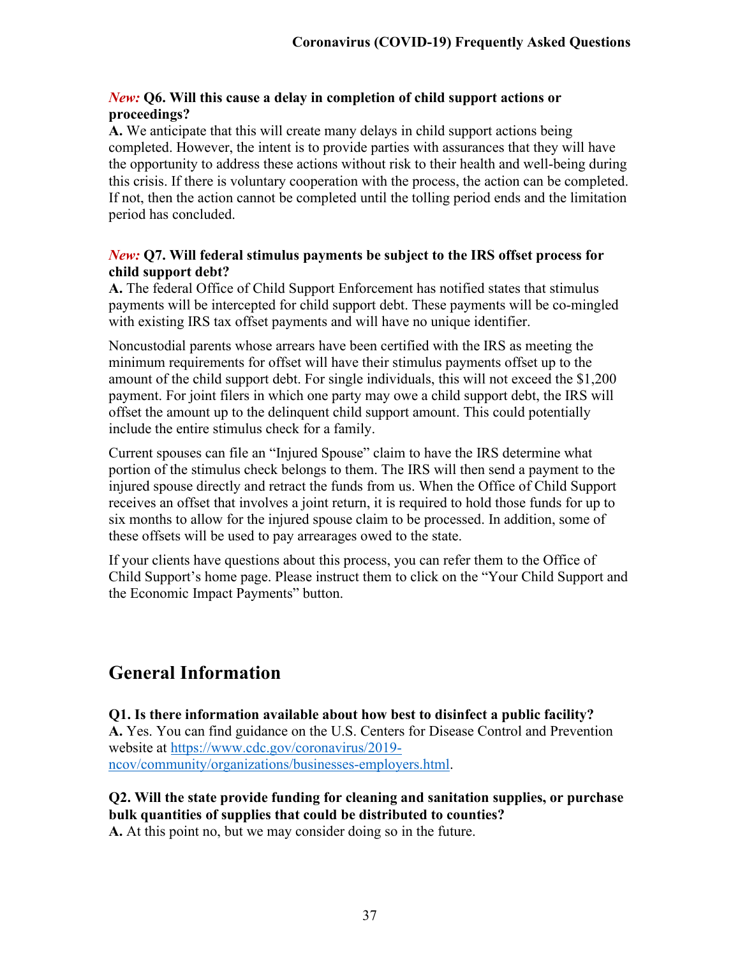#### *New:* **Q6. Will this cause a delay in completion of child support actions or proceedings?**

**A.** We anticipate that this will create many delays in child support actions being completed. However, the intent is to provide parties with assurances that they will have the opportunity to address these actions without risk to their health and well-being during this crisis. If there is voluntary cooperation with the process, the action can be completed. If not, then the action cannot be completed until the tolling period ends and the limitation period has concluded.

#### *New:* **Q7. Will federal stimulus payments be subject to the IRS offset process for child support debt?**

**A.** The federal Office of Child Support Enforcement has notified states that stimulus payments will be intercepted for child support debt. These payments will be co-mingled with existing IRS tax offset payments and will have no unique identifier.

Noncustodial parents whose arrears have been certified with the IRS as meeting the minimum requirements for offset will have their stimulus payments offset up to the amount of the child support debt. For single individuals, this will not exceed the \$1,200 payment. For joint filers in which one party may owe a child support debt, the IRS will offset the amount up to the delinquent child support amount. This could potentially include the entire stimulus check for a family.

Current spouses can file an "Injured Spouse" claim to have the IRS determine what portion of the stimulus check belongs to them. The IRS will then send a payment to the injured spouse directly and retract the funds from us. When the Office of Child Support receives an offset that involves a joint return, it is required to hold those funds for up to six months to allow for the injured spouse claim to be processed. In addition, some of these offsets will be used to pay arrearages owed to the state.

If your clients have questions about this process, you can refer them to the Office of Child Support's home page. Please instruct them to click on the "Your Child Support and the Economic Impact Payments" button.

# <span id="page-36-0"></span>**General Information**

**Q1. Is there information available about how best to disinfect a public facility? A.** Yes. You can find guidance on the U.S. Centers for Disease Control and Prevention website at [https://www.cdc.gov/coronavirus/2019](https://www.cdc.gov/coronavirus/2019-ncov/community/organizations/businesses-employers.html) [ncov/community/organizations/businesses-employers.html.](https://www.cdc.gov/coronavirus/2019-ncov/community/organizations/businesses-employers.html)

**Q2. Will the state provide funding for cleaning and sanitation supplies, or purchase bulk quantities of supplies that could be distributed to counties? A.** At this point no, but we may consider doing so in the future.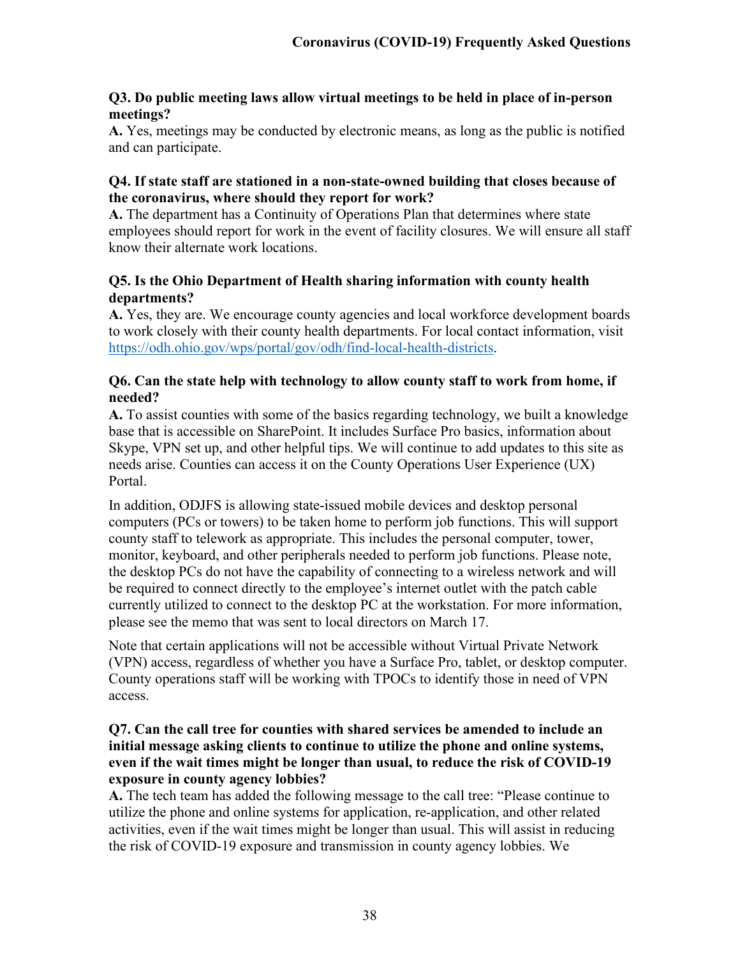#### **Q3. Do public meeting laws allow virtual meetings to be held in place of in-person meetings?**

**A.** Yes, meetings may be conducted by electronic means, as long as the public is notified and can participate.

#### **Q4. If state staff are stationed in a non-state-owned building that closes because of the coronavirus, where should they report for work?**

**A.** The department has a Continuity of Operations Plan that determines where state employees should report for work in the event of facility closures. We will ensure all staff know their alternate work locations.

## **Q5. Is the Ohio Department of Health sharing information with county health departments?**

**A.** Yes, they are. We encourage county agencies and local workforce development boards to work closely with their county health departments. For local contact information, visit [https://odh.ohio.gov/wps/portal/gov/odh/find-local-health-districts.](https://odh.ohio.gov/wps/portal/gov/odh/find-local-health-districts)

## **Q6. Can the state help with technology to allow county staff to work from home, if needed?**

**A.** To assist counties with some of the basics regarding technology, we built a knowledge base that is accessible on SharePoint. It includes Surface Pro basics, information about Skype, VPN set up, and other helpful tips. We will continue to add updates to this site as needs arise. Counties can access it on the County Operations User Experience (UX) Portal.

In addition, ODJFS is allowing state-issued mobile devices and desktop personal computers (PCs or towers) to be taken home to perform job functions. This will support county staff to telework as appropriate. This includes the personal computer, tower, monitor, keyboard, and other peripherals needed to perform job functions. Please note, the desktop PCs do not have the capability of connecting to a wireless network and will be required to connect directly to the employee's internet outlet with the patch cable currently utilized to connect to the desktop PC at the workstation. For more information, please see the memo that was sent to local directors on March 17.

Note that certain applications will not be accessible without Virtual Private Network (VPN) access, regardless of whether you have a Surface Pro, tablet, or desktop computer. County operations staff will be working with TPOCs to identify those in need of VPN access.

#### **Q7. Can the call tree for counties with shared services be amended to include an initial message asking clients to continue to utilize the phone and online systems, even if the wait times might be longer than usual, to reduce the risk of COVID-19 exposure in county agency lobbies?**

**A.** The tech team has added the following message to the call tree: "Please continue to utilize the phone and online systems for application, re-application, and other related activities, even if the wait times might be longer than usual. This will assist in reducing the risk of COVID-19 exposure and transmission in county agency lobbies. We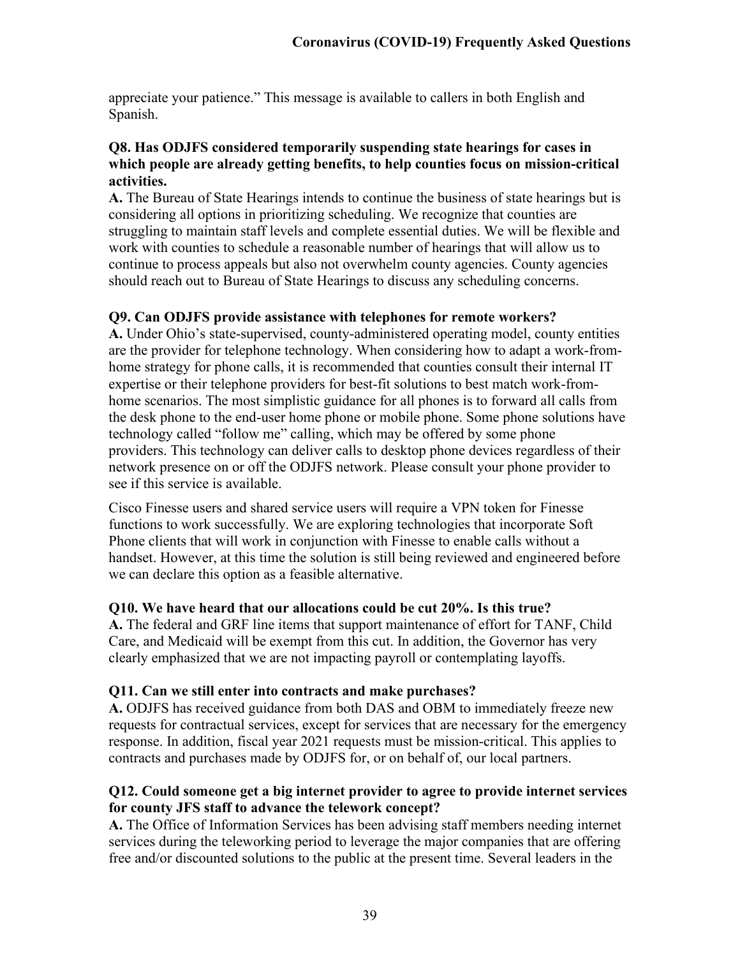appreciate your patience." This message is available to callers in both English and Spanish.

#### **Q8. Has ODJFS considered temporarily suspending state hearings for cases in which people are already getting benefits, to help counties focus on mission-critical activities.**

**A.** The Bureau of State Hearings intends to continue the business of state hearings but is considering all options in prioritizing scheduling. We recognize that counties are struggling to maintain staff levels and complete essential duties. We will be flexible and work with counties to schedule a reasonable number of hearings that will allow us to continue to process appeals but also not overwhelm county agencies. County agencies should reach out to Bureau of State Hearings to discuss any scheduling concerns.

#### **Q9. Can ODJFS provide assistance with telephones for remote workers?**

**A.** Under Ohio's state-supervised, county-administered operating model, county entities are the provider for telephone technology. When considering how to adapt a work-fromhome strategy for phone calls, it is recommended that counties consult their internal IT expertise or their telephone providers for best-fit solutions to best match work-fromhome scenarios. The most simplistic guidance for all phones is to forward all calls from the desk phone to the end-user home phone or mobile phone. Some phone solutions have technology called "follow me" calling, which may be offered by some phone providers. This technology can deliver calls to desktop phone devices regardless of their network presence on or off the ODJFS network. Please consult your phone provider to see if this service is available.

Cisco Finesse users and shared service users will require a VPN token for Finesse functions to work successfully. We are exploring technologies that incorporate Soft Phone clients that will work in conjunction with Finesse to enable calls without a handset. However, at this time the solution is still being reviewed and engineered before we can declare this option as a feasible alternative.

#### **Q10. We have heard that our allocations could be cut 20%. Is this true?**

**A.** The federal and GRF line items that support maintenance of effort for TANF, Child Care, and Medicaid will be exempt from this cut. In addition, the Governor has very clearly emphasized that we are not impacting payroll or contemplating layoffs.

#### **Q11. Can we still enter into contracts and make purchases?**

**A.** ODJFS has received guidance from both DAS and OBM to immediately freeze new requests for contractual services, except for services that are necessary for the emergency response. In addition, fiscal year 2021 requests must be mission-critical. This applies to contracts and purchases made by ODJFS for, or on behalf of, our local partners.

#### **Q12. Could someone get a big internet provider to agree to provide internet services for county JFS staff to advance the telework concept?**

**A.** The Office of Information Services has been advising staff members needing internet services during the teleworking period to leverage the major companies that are offering free and/or discounted solutions to the public at the present time. Several leaders in the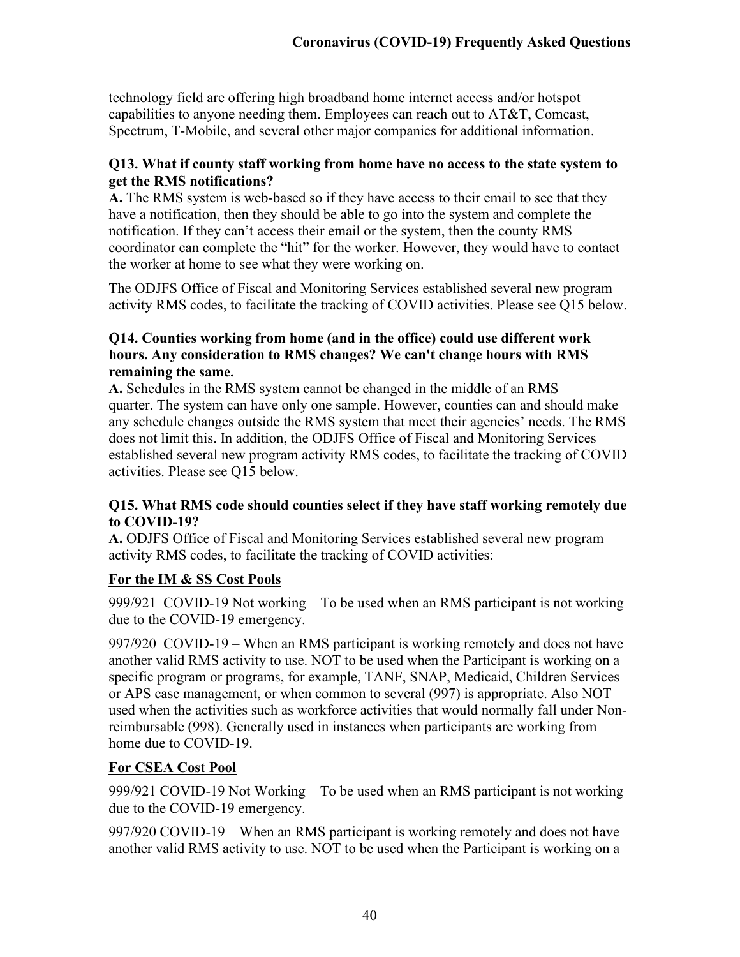technology field are offering high broadband home internet access and/or hotspot capabilities to anyone needing them. Employees can reach out to AT&T, Comcast, Spectrum, T-Mobile, and several other major companies for additional information.

## **Q13. What if county staff working from home have no access to the state system to get the RMS notifications?**

**A.** The RMS system is web-based so if they have access to their email to see that they have a notification, then they should be able to go into the system and complete the notification. If they can't access their email or the system, then the county RMS coordinator can complete the "hit" for the worker. However, they would have to contact the worker at home to see what they were working on.

The ODJFS Office of Fiscal and Monitoring Services established several new program activity RMS codes, to facilitate the tracking of COVID activities. Please see Q15 below.

## **Q14. Counties working from home (and in the office) could use different work hours. Any consideration to RMS changes? We can't change hours with RMS remaining the same.**

**A.** Schedules in the RMS system cannot be changed in the middle of an RMS quarter. The system can have only one sample. However, counties can and should make any schedule changes outside the RMS system that meet their agencies' needs. The RMS does not limit this. In addition, the ODJFS Office of Fiscal and Monitoring Services established several new program activity RMS codes, to facilitate the tracking of COVID activities. Please see Q15 below.

## **Q15. What RMS code should counties select if they have staff working remotely due to COVID-19?**

**A.** ODJFS Office of Fiscal and Monitoring Services established several new program activity RMS codes, to facilitate the tracking of COVID activities:

# **For the IM & SS Cost Pools**

999/921 COVID-19 Not working – To be used when an RMS participant is not working due to the COVID-19 emergency.

997/920 COVID-19 – When an RMS participant is working remotely and does not have another valid RMS activity to use. NOT to be used when the Participant is working on a specific program or programs, for example, TANF, SNAP, Medicaid, Children Services or APS case management, or when common to several (997) is appropriate. Also NOT used when the activities such as workforce activities that would normally fall under Nonreimbursable (998). Generally used in instances when participants are working from home due to COVID-19.

# **For CSEA Cost Pool**

999/921 COVID-19 Not Working – To be used when an RMS participant is not working due to the COVID-19 emergency.

997/920 COVID-19 – When an RMS participant is working remotely and does not have another valid RMS activity to use. NOT to be used when the Participant is working on a